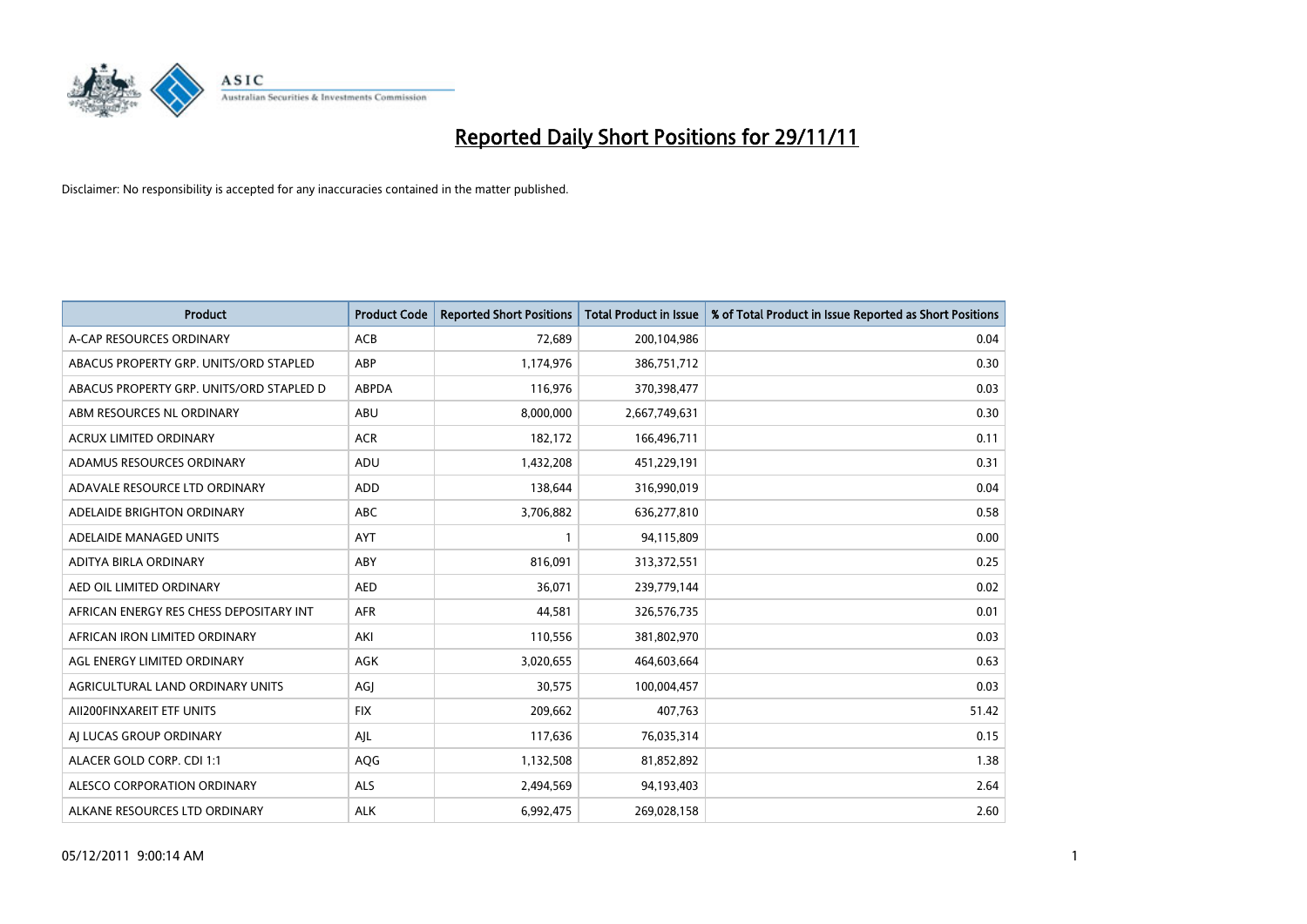

| <b>Product</b>                           | <b>Product Code</b> | <b>Reported Short Positions</b> | <b>Total Product in Issue</b> | % of Total Product in Issue Reported as Short Positions |
|------------------------------------------|---------------------|---------------------------------|-------------------------------|---------------------------------------------------------|
| A-CAP RESOURCES ORDINARY                 | <b>ACB</b>          | 72,689                          | 200,104,986                   | 0.04                                                    |
| ABACUS PROPERTY GRP. UNITS/ORD STAPLED   | ABP                 | 1,174,976                       | 386,751,712                   | 0.30                                                    |
| ABACUS PROPERTY GRP. UNITS/ORD STAPLED D | <b>ABPDA</b>        | 116,976                         | 370,398,477                   | 0.03                                                    |
| ABM RESOURCES NL ORDINARY                | ABU                 | 8,000,000                       | 2,667,749,631                 | 0.30                                                    |
| <b>ACRUX LIMITED ORDINARY</b>            | <b>ACR</b>          | 182,172                         | 166,496,711                   | 0.11                                                    |
| ADAMUS RESOURCES ORDINARY                | ADU                 | 1,432,208                       | 451,229,191                   | 0.31                                                    |
| ADAVALE RESOURCE LTD ORDINARY            | <b>ADD</b>          | 138.644                         | 316,990,019                   | 0.04                                                    |
| ADELAIDE BRIGHTON ORDINARY               | <b>ABC</b>          | 3,706,882                       | 636,277,810                   | 0.58                                                    |
| ADELAIDE MANAGED UNITS                   | <b>AYT</b>          | 1                               | 94,115,809                    | 0.00                                                    |
| ADITYA BIRLA ORDINARY                    | ABY                 | 816,091                         | 313,372,551                   | 0.25                                                    |
| AED OIL LIMITED ORDINARY                 | <b>AED</b>          | 36,071                          | 239,779,144                   | 0.02                                                    |
| AFRICAN ENERGY RES CHESS DEPOSITARY INT  | <b>AFR</b>          | 44,581                          | 326,576,735                   | 0.01                                                    |
| AFRICAN IRON LIMITED ORDINARY            | AKI                 | 110,556                         | 381,802,970                   | 0.03                                                    |
| AGL ENERGY LIMITED ORDINARY              | <b>AGK</b>          | 3,020,655                       | 464,603,664                   | 0.63                                                    |
| AGRICULTURAL LAND ORDINARY UNITS         | AGI                 | 30,575                          | 100,004,457                   | 0.03                                                    |
| AII200FINXAREIT ETF UNITS                | <b>FIX</b>          | 209,662                         | 407,763                       | 51.42                                                   |
| AI LUCAS GROUP ORDINARY                  | AJL                 | 117,636                         | 76,035,314                    | 0.15                                                    |
| ALACER GOLD CORP. CDI 1:1                | <b>AQG</b>          | 1,132,508                       | 81,852,892                    | 1.38                                                    |
| ALESCO CORPORATION ORDINARY              | <b>ALS</b>          | 2,494,569                       | 94,193,403                    | 2.64                                                    |
| ALKANE RESOURCES LTD ORDINARY            | <b>ALK</b>          | 6.992.475                       | 269,028,158                   | 2.60                                                    |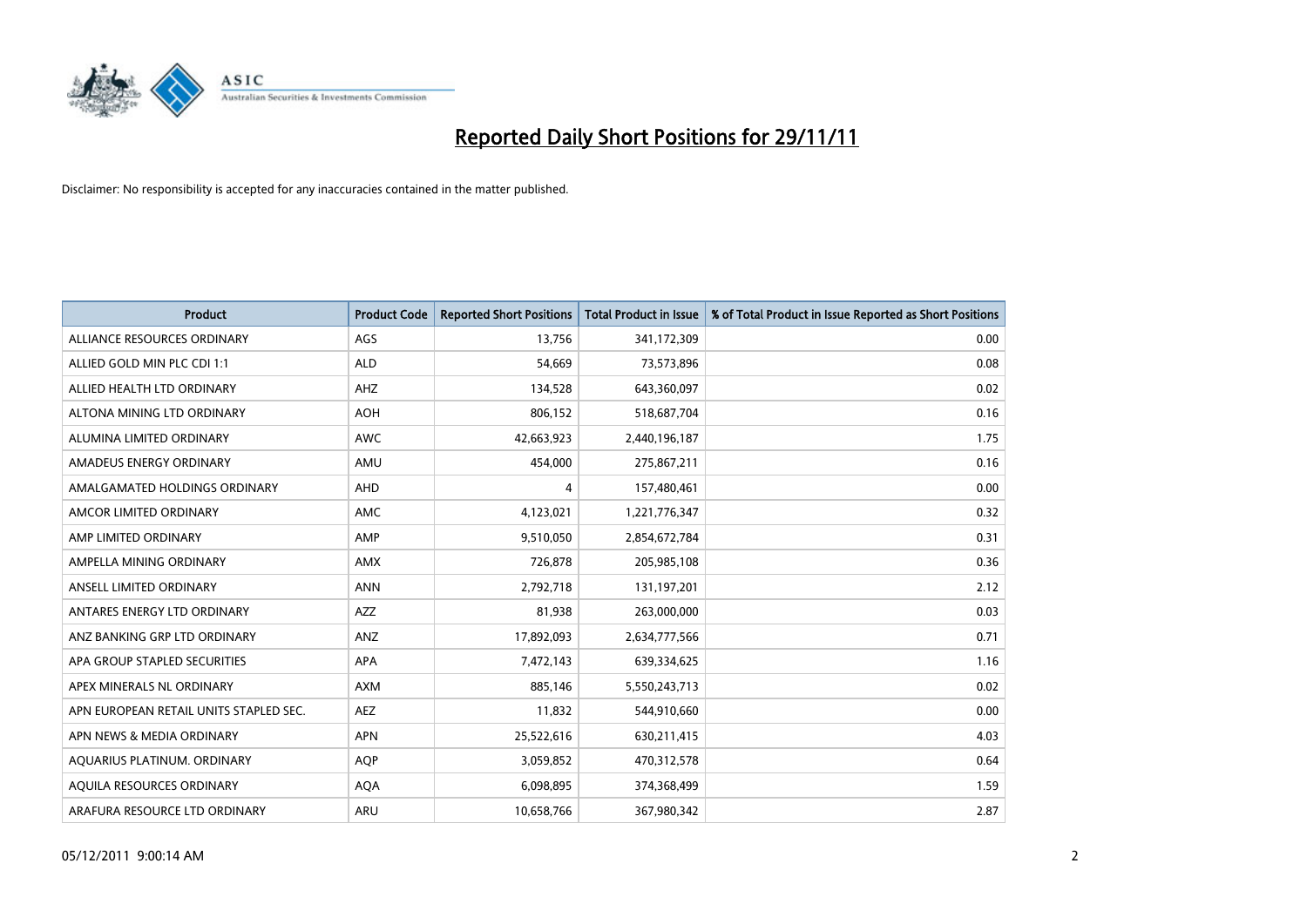

| Product                                | <b>Product Code</b> | <b>Reported Short Positions</b> | Total Product in Issue | % of Total Product in Issue Reported as Short Positions |
|----------------------------------------|---------------------|---------------------------------|------------------------|---------------------------------------------------------|
| ALLIANCE RESOURCES ORDINARY            | AGS                 | 13,756                          | 341,172,309            | 0.00                                                    |
| ALLIED GOLD MIN PLC CDI 1:1            | <b>ALD</b>          | 54,669                          | 73,573,896             | 0.08                                                    |
| ALLIED HEALTH LTD ORDINARY             | AHZ                 | 134,528                         | 643,360,097            | 0.02                                                    |
| ALTONA MINING LTD ORDINARY             | <b>AOH</b>          | 806,152                         | 518,687,704            | 0.16                                                    |
| ALUMINA LIMITED ORDINARY               | <b>AWC</b>          | 42,663,923                      | 2,440,196,187          | 1.75                                                    |
| AMADEUS ENERGY ORDINARY                | AMU                 | 454,000                         | 275,867,211            | 0.16                                                    |
| AMALGAMATED HOLDINGS ORDINARY          | <b>AHD</b>          | 4                               | 157,480,461            | 0.00                                                    |
| AMCOR LIMITED ORDINARY                 | AMC                 | 4,123,021                       | 1,221,776,347          | 0.32                                                    |
| AMP LIMITED ORDINARY                   | AMP                 | 9,510,050                       | 2,854,672,784          | 0.31                                                    |
| AMPELLA MINING ORDINARY                | <b>AMX</b>          | 726,878                         | 205,985,108            | 0.36                                                    |
| ANSELL LIMITED ORDINARY                | <b>ANN</b>          | 2,792,718                       | 131,197,201            | 2.12                                                    |
| ANTARES ENERGY LTD ORDINARY            | AZZ                 | 81,938                          | 263,000,000            | 0.03                                                    |
| ANZ BANKING GRP LTD ORDINARY           | ANZ                 | 17,892,093                      | 2,634,777,566          | 0.71                                                    |
| APA GROUP STAPLED SECURITIES           | APA                 | 7,472,143                       | 639,334,625            | 1.16                                                    |
| APEX MINERALS NL ORDINARY              | <b>AXM</b>          | 885,146                         | 5,550,243,713          | 0.02                                                    |
| APN EUROPEAN RETAIL UNITS STAPLED SEC. | <b>AEZ</b>          | 11,832                          | 544,910,660            | 0.00                                                    |
| APN NEWS & MEDIA ORDINARY              | <b>APN</b>          | 25,522,616                      | 630,211,415            | 4.03                                                    |
| AQUARIUS PLATINUM. ORDINARY            | <b>AQP</b>          | 3,059,852                       | 470,312,578            | 0.64                                                    |
| AOUILA RESOURCES ORDINARY              | <b>AQA</b>          | 6,098,895                       | 374,368,499            | 1.59                                                    |
| ARAFURA RESOURCE LTD ORDINARY          | ARU                 | 10,658,766                      | 367,980,342            | 2.87                                                    |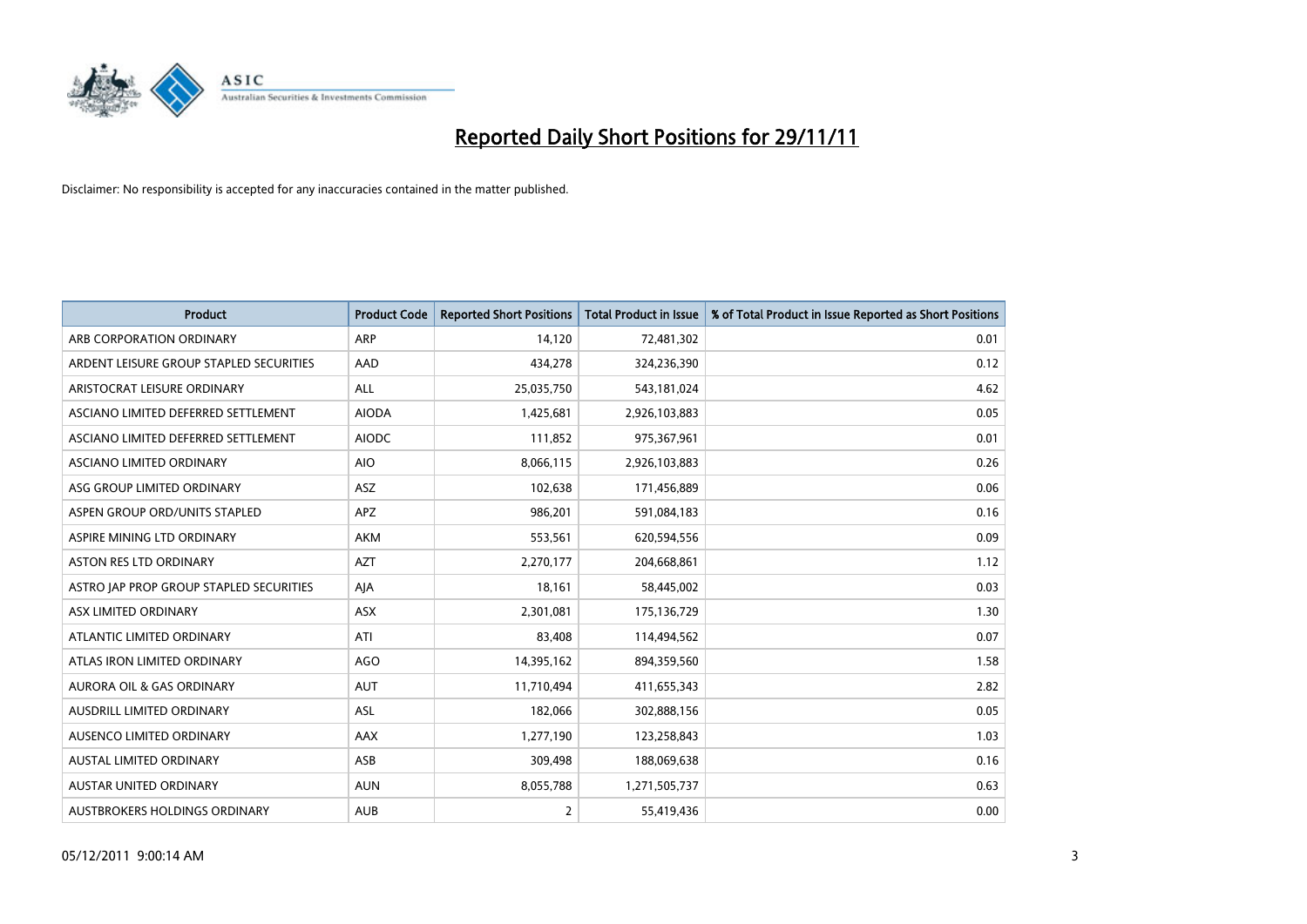

| Product                                 | <b>Product Code</b> | <b>Reported Short Positions</b> | <b>Total Product in Issue</b> | % of Total Product in Issue Reported as Short Positions |
|-----------------------------------------|---------------------|---------------------------------|-------------------------------|---------------------------------------------------------|
| ARB CORPORATION ORDINARY                | <b>ARP</b>          | 14,120                          | 72,481,302                    | 0.01                                                    |
| ARDENT LEISURE GROUP STAPLED SECURITIES | AAD                 | 434,278                         | 324,236,390                   | 0.12                                                    |
| ARISTOCRAT LEISURE ORDINARY             | <b>ALL</b>          | 25,035,750                      | 543,181,024                   | 4.62                                                    |
| ASCIANO LIMITED DEFERRED SETTLEMENT     | <b>AIODA</b>        | 1,425,681                       | 2,926,103,883                 | 0.05                                                    |
| ASCIANO LIMITED DEFERRED SETTLEMENT     | <b>AIODC</b>        | 111,852                         | 975,367,961                   | 0.01                                                    |
| ASCIANO LIMITED ORDINARY                | <b>AIO</b>          | 8,066,115                       | 2,926,103,883                 | 0.26                                                    |
| ASG GROUP LIMITED ORDINARY              | ASZ                 | 102,638                         | 171,456,889                   | 0.06                                                    |
| ASPEN GROUP ORD/UNITS STAPLED           | <b>APZ</b>          | 986,201                         | 591,084,183                   | 0.16                                                    |
| ASPIRE MINING LTD ORDINARY              | <b>AKM</b>          | 553,561                         | 620,594,556                   | 0.09                                                    |
| <b>ASTON RES LTD ORDINARY</b>           | <b>AZT</b>          | 2,270,177                       | 204,668,861                   | 1.12                                                    |
| ASTRO JAP PROP GROUP STAPLED SECURITIES | AJA                 | 18,161                          | 58,445,002                    | 0.03                                                    |
| ASX LIMITED ORDINARY                    | ASX                 | 2,301,081                       | 175,136,729                   | 1.30                                                    |
| ATLANTIC LIMITED ORDINARY               | ATI                 | 83,408                          | 114,494,562                   | 0.07                                                    |
| ATLAS IRON LIMITED ORDINARY             | <b>AGO</b>          | 14,395,162                      | 894,359,560                   | 1.58                                                    |
| <b>AURORA OIL &amp; GAS ORDINARY</b>    | <b>AUT</b>          | 11,710,494                      | 411,655,343                   | 2.82                                                    |
| AUSDRILL LIMITED ORDINARY               | ASL                 | 182,066                         | 302,888,156                   | 0.05                                                    |
| AUSENCO LIMITED ORDINARY                | AAX                 | 1,277,190                       | 123,258,843                   | 1.03                                                    |
| AUSTAL LIMITED ORDINARY                 | ASB                 | 309,498                         | 188,069,638                   | 0.16                                                    |
| <b>AUSTAR UNITED ORDINARY</b>           | <b>AUN</b>          | 8,055,788                       | 1,271,505,737                 | 0.63                                                    |
| AUSTBROKERS HOLDINGS ORDINARY           | <b>AUB</b>          | 2                               | 55,419,436                    | 0.00                                                    |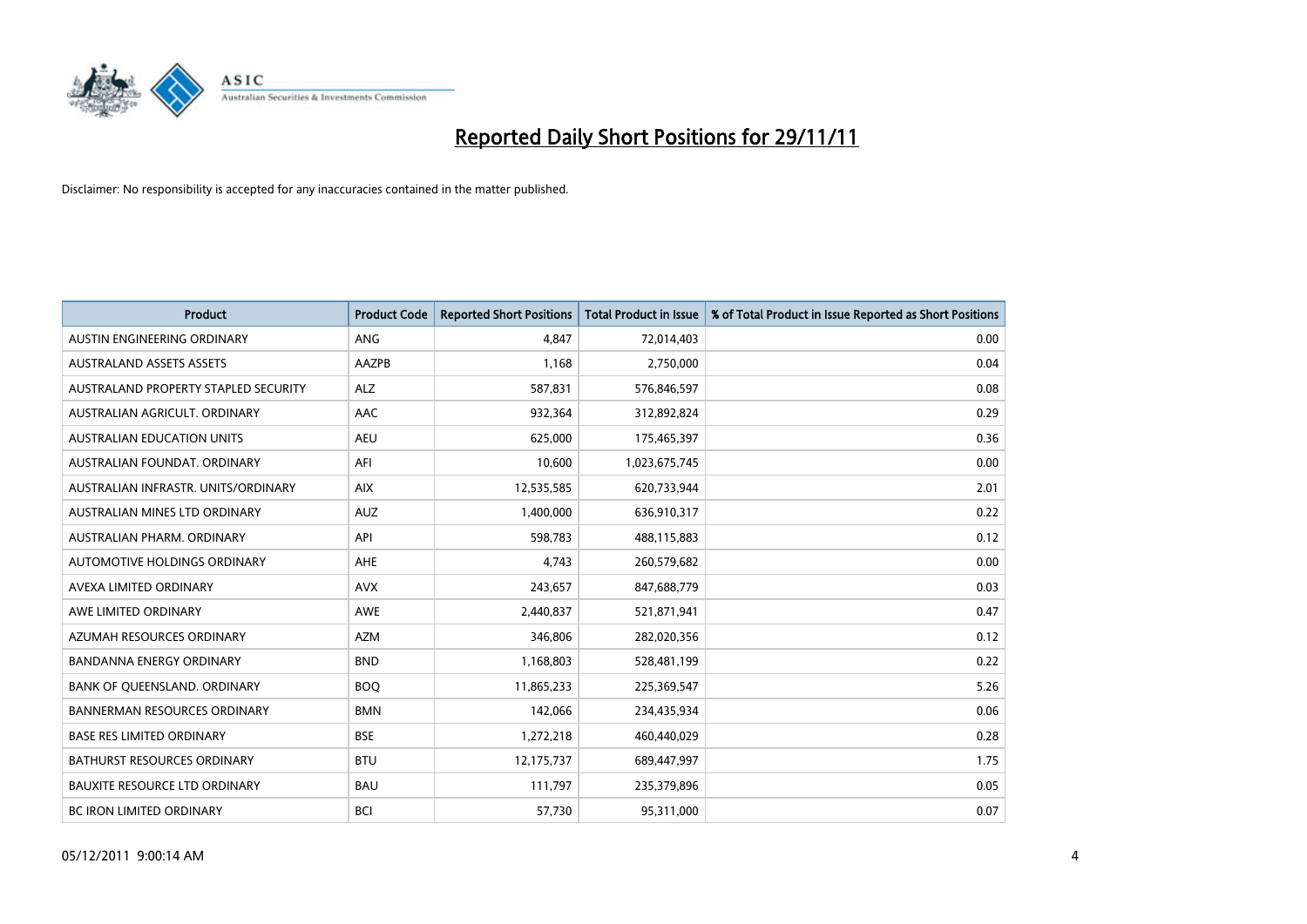

| <b>Product</b>                       | <b>Product Code</b> | <b>Reported Short Positions</b> | <b>Total Product in Issue</b> | % of Total Product in Issue Reported as Short Positions |
|--------------------------------------|---------------------|---------------------------------|-------------------------------|---------------------------------------------------------|
| AUSTIN ENGINEERING ORDINARY          | ANG                 | 4.847                           | 72,014,403                    | 0.00                                                    |
| <b>AUSTRALAND ASSETS ASSETS</b>      | AAZPB               | 1,168                           | 2,750,000                     | 0.04                                                    |
| AUSTRALAND PROPERTY STAPLED SECURITY | ALZ                 | 587,831                         | 576,846,597                   | 0.08                                                    |
| AUSTRALIAN AGRICULT. ORDINARY        | AAC                 | 932,364                         | 312,892,824                   | 0.29                                                    |
| <b>AUSTRALIAN EDUCATION UNITS</b>    | <b>AEU</b>          | 625,000                         | 175,465,397                   | 0.36                                                    |
| AUSTRALIAN FOUNDAT, ORDINARY         | AFI                 | 10,600                          | 1,023,675,745                 | 0.00                                                    |
| AUSTRALIAN INFRASTR, UNITS/ORDINARY  | <b>AIX</b>          | 12,535,585                      | 620,733,944                   | 2.01                                                    |
| AUSTRALIAN MINES LTD ORDINARY        | <b>AUZ</b>          | 1,400,000                       | 636,910,317                   | 0.22                                                    |
| AUSTRALIAN PHARM, ORDINARY           | API                 | 598,783                         | 488,115,883                   | 0.12                                                    |
| AUTOMOTIVE HOLDINGS ORDINARY         | <b>AHE</b>          | 4,743                           | 260,579,682                   | 0.00                                                    |
| AVEXA LIMITED ORDINARY               | <b>AVX</b>          | 243,657                         | 847,688,779                   | 0.03                                                    |
| AWE LIMITED ORDINARY                 | AWE                 | 2,440,837                       | 521,871,941                   | 0.47                                                    |
| AZUMAH RESOURCES ORDINARY            | <b>AZM</b>          | 346,806                         | 282,020,356                   | 0.12                                                    |
| <b>BANDANNA ENERGY ORDINARY</b>      | <b>BND</b>          | 1,168,803                       | 528,481,199                   | 0.22                                                    |
| BANK OF QUEENSLAND. ORDINARY         | <b>BOQ</b>          | 11,865,233                      | 225,369,547                   | 5.26                                                    |
| <b>BANNERMAN RESOURCES ORDINARY</b>  | <b>BMN</b>          | 142,066                         | 234,435,934                   | 0.06                                                    |
| <b>BASE RES LIMITED ORDINARY</b>     | <b>BSE</b>          | 1,272,218                       | 460,440,029                   | 0.28                                                    |
| <b>BATHURST RESOURCES ORDINARY</b>   | <b>BTU</b>          | 12,175,737                      | 689,447,997                   | 1.75                                                    |
| <b>BAUXITE RESOURCE LTD ORDINARY</b> | <b>BAU</b>          | 111,797                         | 235,379,896                   | 0.05                                                    |
| <b>BC IRON LIMITED ORDINARY</b>      | <b>BCI</b>          | 57,730                          | 95,311,000                    | 0.07                                                    |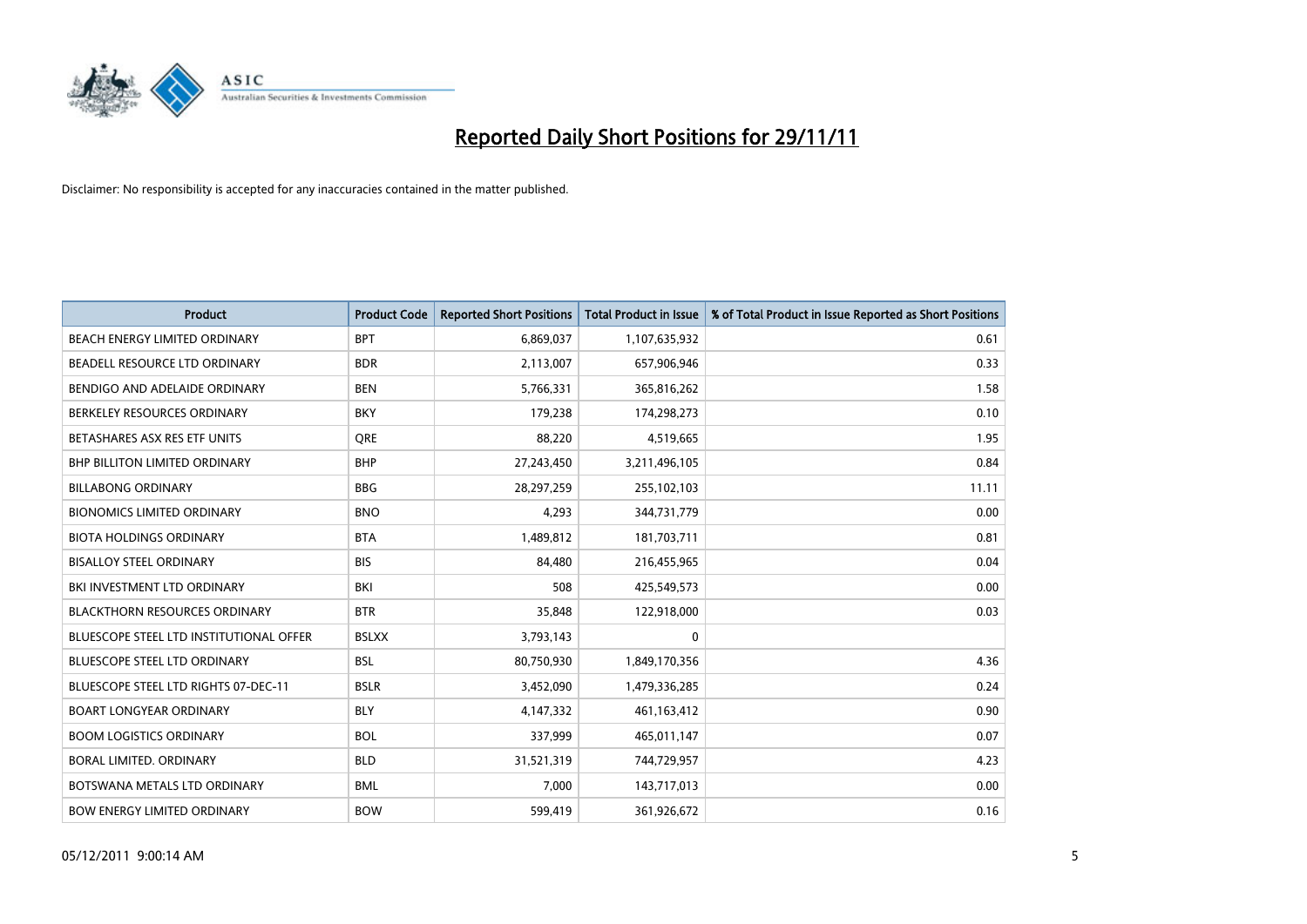

| <b>Product</b>                                 | <b>Product Code</b> | <b>Reported Short Positions</b> | <b>Total Product in Issue</b> | % of Total Product in Issue Reported as Short Positions |
|------------------------------------------------|---------------------|---------------------------------|-------------------------------|---------------------------------------------------------|
| <b>BEACH ENERGY LIMITED ORDINARY</b>           | <b>BPT</b>          | 6,869,037                       | 1,107,635,932                 | 0.61                                                    |
| BEADELL RESOURCE LTD ORDINARY                  | <b>BDR</b>          | 2,113,007                       | 657,906,946                   | 0.33                                                    |
| BENDIGO AND ADELAIDE ORDINARY                  | <b>BEN</b>          | 5,766,331                       | 365,816,262                   | 1.58                                                    |
| BERKELEY RESOURCES ORDINARY                    | <b>BKY</b>          | 179,238                         | 174,298,273                   | 0.10                                                    |
| BETASHARES ASX RES ETF UNITS                   | <b>ORE</b>          | 88,220                          | 4,519,665                     | 1.95                                                    |
| <b>BHP BILLITON LIMITED ORDINARY</b>           | <b>BHP</b>          | 27,243,450                      | 3,211,496,105                 | 0.84                                                    |
| <b>BILLABONG ORDINARY</b>                      | <b>BBG</b>          | 28,297,259                      | 255,102,103                   | 11.11                                                   |
| <b>BIONOMICS LIMITED ORDINARY</b>              | <b>BNO</b>          | 4,293                           | 344,731,779                   | 0.00                                                    |
| <b>BIOTA HOLDINGS ORDINARY</b>                 | <b>BTA</b>          | 1,489,812                       | 181,703,711                   | 0.81                                                    |
| <b>BISALLOY STEEL ORDINARY</b>                 | <b>BIS</b>          | 84,480                          | 216,455,965                   | 0.04                                                    |
| BKI INVESTMENT LTD ORDINARY                    | BKI                 | 508                             | 425,549,573                   | 0.00                                                    |
| <b>BLACKTHORN RESOURCES ORDINARY</b>           | <b>BTR</b>          | 35,848                          | 122,918,000                   | 0.03                                                    |
| <b>BLUESCOPE STEEL LTD INSTITUTIONAL OFFER</b> | <b>BSLXX</b>        | 3,793,143                       | $\mathbf 0$                   |                                                         |
| <b>BLUESCOPE STEEL LTD ORDINARY</b>            | <b>BSL</b>          | 80,750,930                      | 1,849,170,356                 | 4.36                                                    |
| BLUESCOPE STEEL LTD RIGHTS 07-DEC-11           | <b>BSLR</b>         | 3,452,090                       | 1,479,336,285                 | 0.24                                                    |
| <b>BOART LONGYEAR ORDINARY</b>                 | <b>BLY</b>          | 4,147,332                       | 461, 163, 412                 | 0.90                                                    |
| <b>BOOM LOGISTICS ORDINARY</b>                 | <b>BOL</b>          | 337,999                         | 465,011,147                   | 0.07                                                    |
| BORAL LIMITED. ORDINARY                        | <b>BLD</b>          | 31,521,319                      | 744,729,957                   | 4.23                                                    |
| BOTSWANA METALS LTD ORDINARY                   | <b>BML</b>          | 7,000                           | 143,717,013                   | 0.00                                                    |
| <b>BOW ENERGY LIMITED ORDINARY</b>             | <b>BOW</b>          | 599,419                         | 361,926,672                   | 0.16                                                    |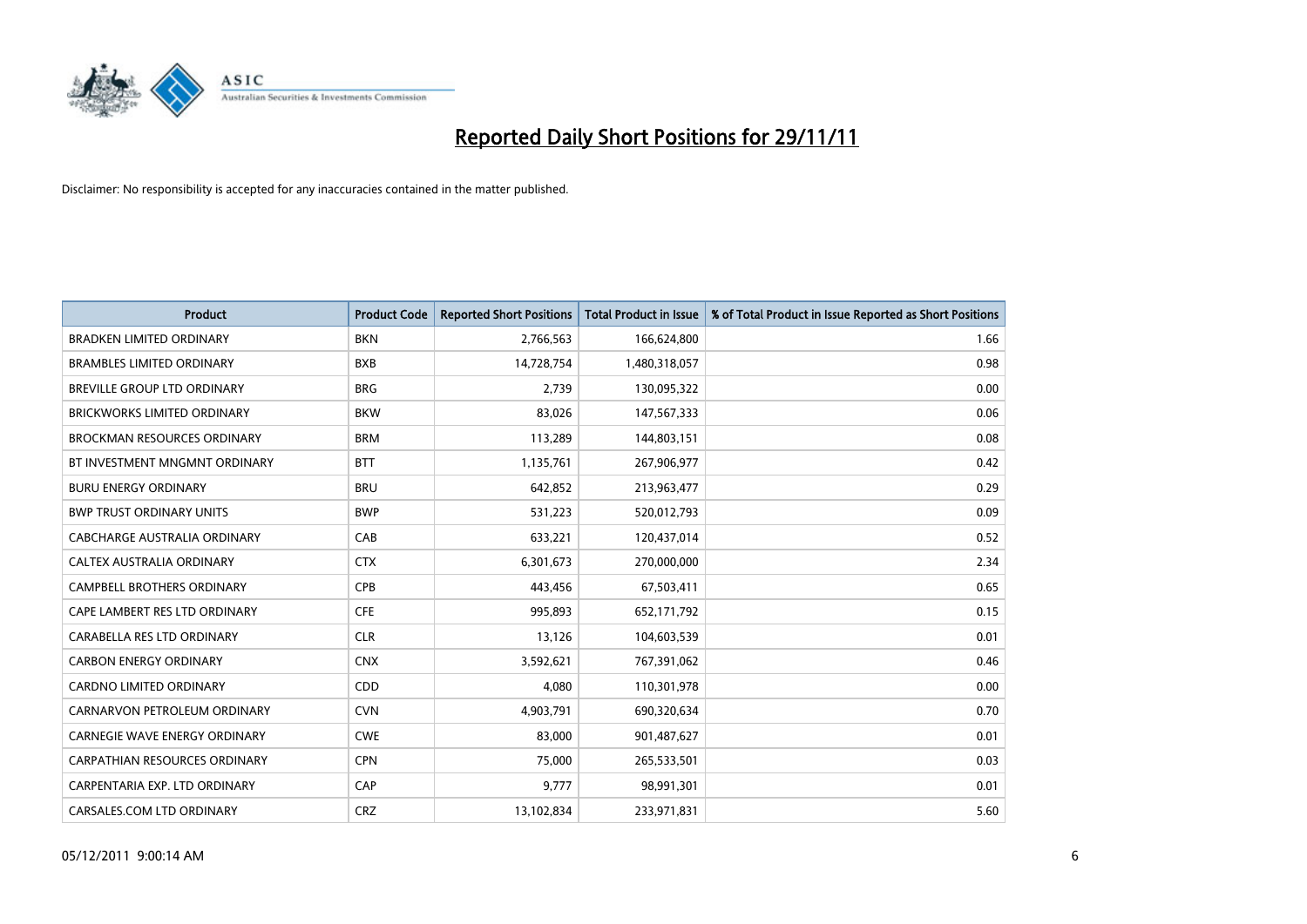

| Product                              | <b>Product Code</b> | <b>Reported Short Positions</b> | <b>Total Product in Issue</b> | % of Total Product in Issue Reported as Short Positions |
|--------------------------------------|---------------------|---------------------------------|-------------------------------|---------------------------------------------------------|
| <b>BRADKEN LIMITED ORDINARY</b>      | <b>BKN</b>          | 2,766,563                       | 166,624,800                   | 1.66                                                    |
| <b>BRAMBLES LIMITED ORDINARY</b>     | <b>BXB</b>          | 14,728,754                      | 1,480,318,057                 | 0.98                                                    |
| <b>BREVILLE GROUP LTD ORDINARY</b>   | <b>BRG</b>          | 2,739                           | 130,095,322                   | 0.00                                                    |
| BRICKWORKS LIMITED ORDINARY          | <b>BKW</b>          | 83,026                          | 147,567,333                   | 0.06                                                    |
| <b>BROCKMAN RESOURCES ORDINARY</b>   | <b>BRM</b>          | 113,289                         | 144,803,151                   | 0.08                                                    |
| BT INVESTMENT MNGMNT ORDINARY        | <b>BTT</b>          | 1,135,761                       | 267,906,977                   | 0.42                                                    |
| <b>BURU ENERGY ORDINARY</b>          | <b>BRU</b>          | 642,852                         | 213,963,477                   | 0.29                                                    |
| <b>BWP TRUST ORDINARY UNITS</b>      | <b>BWP</b>          | 531,223                         | 520,012,793                   | 0.09                                                    |
| CABCHARGE AUSTRALIA ORDINARY         | CAB                 | 633,221                         | 120,437,014                   | 0.52                                                    |
| CALTEX AUSTRALIA ORDINARY            | <b>CTX</b>          | 6,301,673                       | 270,000,000                   | 2.34                                                    |
| <b>CAMPBELL BROTHERS ORDINARY</b>    | <b>CPB</b>          | 443,456                         | 67,503,411                    | 0.65                                                    |
| CAPE LAMBERT RES LTD ORDINARY        | <b>CFE</b>          | 995,893                         | 652,171,792                   | 0.15                                                    |
| CARABELLA RES LTD ORDINARY           | <b>CLR</b>          | 13,126                          | 104,603,539                   | 0.01                                                    |
| <b>CARBON ENERGY ORDINARY</b>        | <b>CNX</b>          | 3,592,621                       | 767,391,062                   | 0.46                                                    |
| <b>CARDNO LIMITED ORDINARY</b>       | CDD                 | 4,080                           | 110,301,978                   | 0.00                                                    |
| CARNARVON PETROLEUM ORDINARY         | <b>CVN</b>          | 4,903,791                       | 690,320,634                   | 0.70                                                    |
| <b>CARNEGIE WAVE ENERGY ORDINARY</b> | <b>CWE</b>          | 83,000                          | 901,487,627                   | 0.01                                                    |
| CARPATHIAN RESOURCES ORDINARY        | <b>CPN</b>          | 75,000                          | 265,533,501                   | 0.03                                                    |
| CARPENTARIA EXP. LTD ORDINARY        | CAP                 | 9,777                           | 98,991,301                    | 0.01                                                    |
| CARSALES.COM LTD ORDINARY            | <b>CRZ</b>          | 13,102,834                      | 233,971,831                   | 5.60                                                    |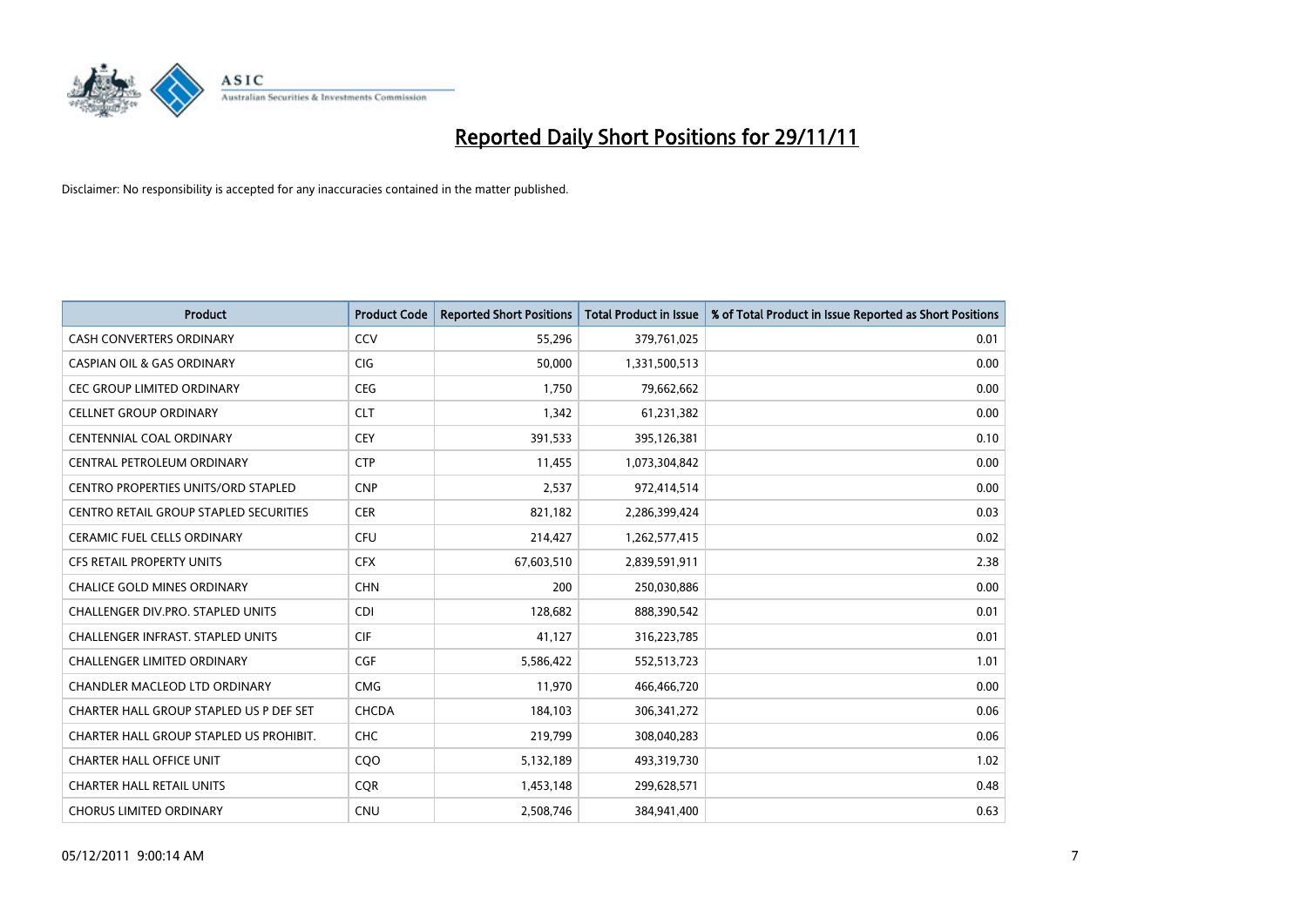

| <b>Product</b>                                | <b>Product Code</b> | <b>Reported Short Positions</b> | <b>Total Product in Issue</b> | % of Total Product in Issue Reported as Short Positions |
|-----------------------------------------------|---------------------|---------------------------------|-------------------------------|---------------------------------------------------------|
| <b>CASH CONVERTERS ORDINARY</b>               | CCV                 | 55,296                          | 379,761,025                   | 0.01                                                    |
| <b>CASPIAN OIL &amp; GAS ORDINARY</b>         | <b>CIG</b>          | 50,000                          | 1,331,500,513                 | 0.00                                                    |
| CEC GROUP LIMITED ORDINARY                    | CEG                 | 1,750                           | 79,662,662                    | 0.00                                                    |
| <b>CELLNET GROUP ORDINARY</b>                 | <b>CLT</b>          | 1.342                           | 61,231,382                    | 0.00                                                    |
| <b>CENTENNIAL COAL ORDINARY</b>               | <b>CEY</b>          | 391,533                         | 395,126,381                   | 0.10                                                    |
| CENTRAL PETROLEUM ORDINARY                    | <b>CTP</b>          | 11,455                          | 1,073,304,842                 | 0.00                                                    |
| <b>CENTRO PROPERTIES UNITS/ORD STAPLED</b>    | <b>CNP</b>          | 2,537                           | 972,414,514                   | 0.00                                                    |
| <b>CENTRO RETAIL GROUP STAPLED SECURITIES</b> | <b>CER</b>          | 821,182                         | 2,286,399,424                 | 0.03                                                    |
| <b>CERAMIC FUEL CELLS ORDINARY</b>            | <b>CFU</b>          | 214,427                         | 1,262,577,415                 | 0.02                                                    |
| CFS RETAIL PROPERTY UNITS                     | <b>CFX</b>          | 67,603,510                      | 2,839,591,911                 | 2.38                                                    |
| CHALICE GOLD MINES ORDINARY                   | <b>CHN</b>          | 200                             | 250,030,886                   | 0.00                                                    |
| <b>CHALLENGER DIV.PRO. STAPLED UNITS</b>      | <b>CDI</b>          | 128,682                         | 888,390,542                   | 0.01                                                    |
| <b>CHALLENGER INFRAST, STAPLED UNITS</b>      | <b>CIF</b>          | 41,127                          | 316,223,785                   | 0.01                                                    |
| <b>CHALLENGER LIMITED ORDINARY</b>            | <b>CGF</b>          | 5,586,422                       | 552,513,723                   | 1.01                                                    |
| CHANDLER MACLEOD LTD ORDINARY                 | <b>CMG</b>          | 11,970                          | 466,466,720                   | 0.00                                                    |
| CHARTER HALL GROUP STAPLED US P DEF SET       | CHCDA               | 184,103                         | 306,341,272                   | 0.06                                                    |
| CHARTER HALL GROUP STAPLED US PROHIBIT.       | <b>CHC</b>          | 219,799                         | 308,040,283                   | 0.06                                                    |
| <b>CHARTER HALL OFFICE UNIT</b>               | CQO                 | 5,132,189                       | 493,319,730                   | 1.02                                                    |
| <b>CHARTER HALL RETAIL UNITS</b>              | <b>CQR</b>          | 1,453,148                       | 299,628,571                   | 0.48                                                    |
| <b>CHORUS LIMITED ORDINARY</b>                | <b>CNU</b>          | 2,508,746                       | 384,941,400                   | 0.63                                                    |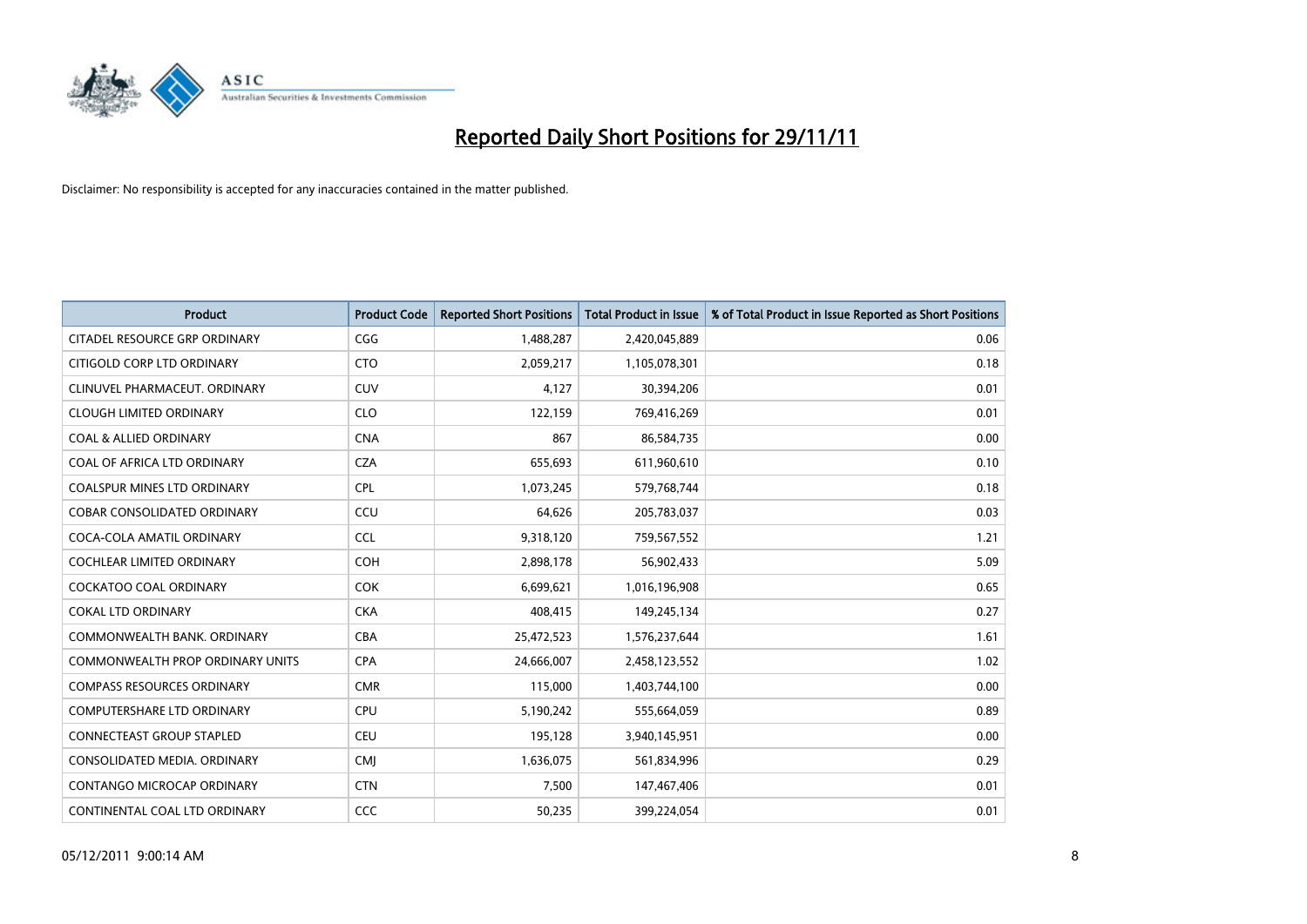

| Product                                 | <b>Product Code</b> | <b>Reported Short Positions</b> | <b>Total Product in Issue</b> | % of Total Product in Issue Reported as Short Positions |
|-----------------------------------------|---------------------|---------------------------------|-------------------------------|---------------------------------------------------------|
| CITADEL RESOURCE GRP ORDINARY           | CGG                 | 1,488,287                       | 2,420,045,889                 | 0.06                                                    |
| CITIGOLD CORP LTD ORDINARY              | <b>CTO</b>          | 2,059,217                       | 1,105,078,301                 | 0.18                                                    |
| CLINUVEL PHARMACEUT. ORDINARY           | <b>CUV</b>          | 4,127                           | 30,394,206                    | 0.01                                                    |
| <b>CLOUGH LIMITED ORDINARY</b>          | <b>CLO</b>          | 122,159                         | 769,416,269                   | 0.01                                                    |
| <b>COAL &amp; ALLIED ORDINARY</b>       | <b>CNA</b>          | 867                             | 86,584,735                    | 0.00                                                    |
| COAL OF AFRICA LTD ORDINARY             | <b>CZA</b>          | 655,693                         | 611,960,610                   | 0.10                                                    |
| COALSPUR MINES LTD ORDINARY             | <b>CPL</b>          | 1,073,245                       | 579,768,744                   | 0.18                                                    |
| COBAR CONSOLIDATED ORDINARY             | CCU                 | 64,626                          | 205,783,037                   | 0.03                                                    |
| COCA-COLA AMATIL ORDINARY               | <b>CCL</b>          | 9,318,120                       | 759,567,552                   | 1.21                                                    |
| <b>COCHLEAR LIMITED ORDINARY</b>        | <b>COH</b>          | 2,898,178                       | 56,902,433                    | 5.09                                                    |
| <b>COCKATOO COAL ORDINARY</b>           | <b>COK</b>          | 6,699,621                       | 1,016,196,908                 | 0.65                                                    |
| <b>COKAL LTD ORDINARY</b>               | <b>CKA</b>          | 408,415                         | 149,245,134                   | 0.27                                                    |
| COMMONWEALTH BANK, ORDINARY             | <b>CBA</b>          | 25,472,523                      | 1,576,237,644                 | 1.61                                                    |
| <b>COMMONWEALTH PROP ORDINARY UNITS</b> | <b>CPA</b>          | 24,666,007                      | 2,458,123,552                 | 1.02                                                    |
| <b>COMPASS RESOURCES ORDINARY</b>       | <b>CMR</b>          | 115,000                         | 1,403,744,100                 | 0.00                                                    |
| COMPUTERSHARE LTD ORDINARY              | <b>CPU</b>          | 5,190,242                       | 555,664,059                   | 0.89                                                    |
| CONNECTEAST GROUP STAPLED               | <b>CEU</b>          | 195,128                         | 3,940,145,951                 | 0.00                                                    |
| CONSOLIDATED MEDIA, ORDINARY            | <b>CMI</b>          | 1,636,075                       | 561,834,996                   | 0.29                                                    |
| <b>CONTANGO MICROCAP ORDINARY</b>       | <b>CTN</b>          | 7,500                           | 147,467,406                   | 0.01                                                    |
| CONTINENTAL COAL LTD ORDINARY           | <b>CCC</b>          | 50,235                          | 399,224,054                   | 0.01                                                    |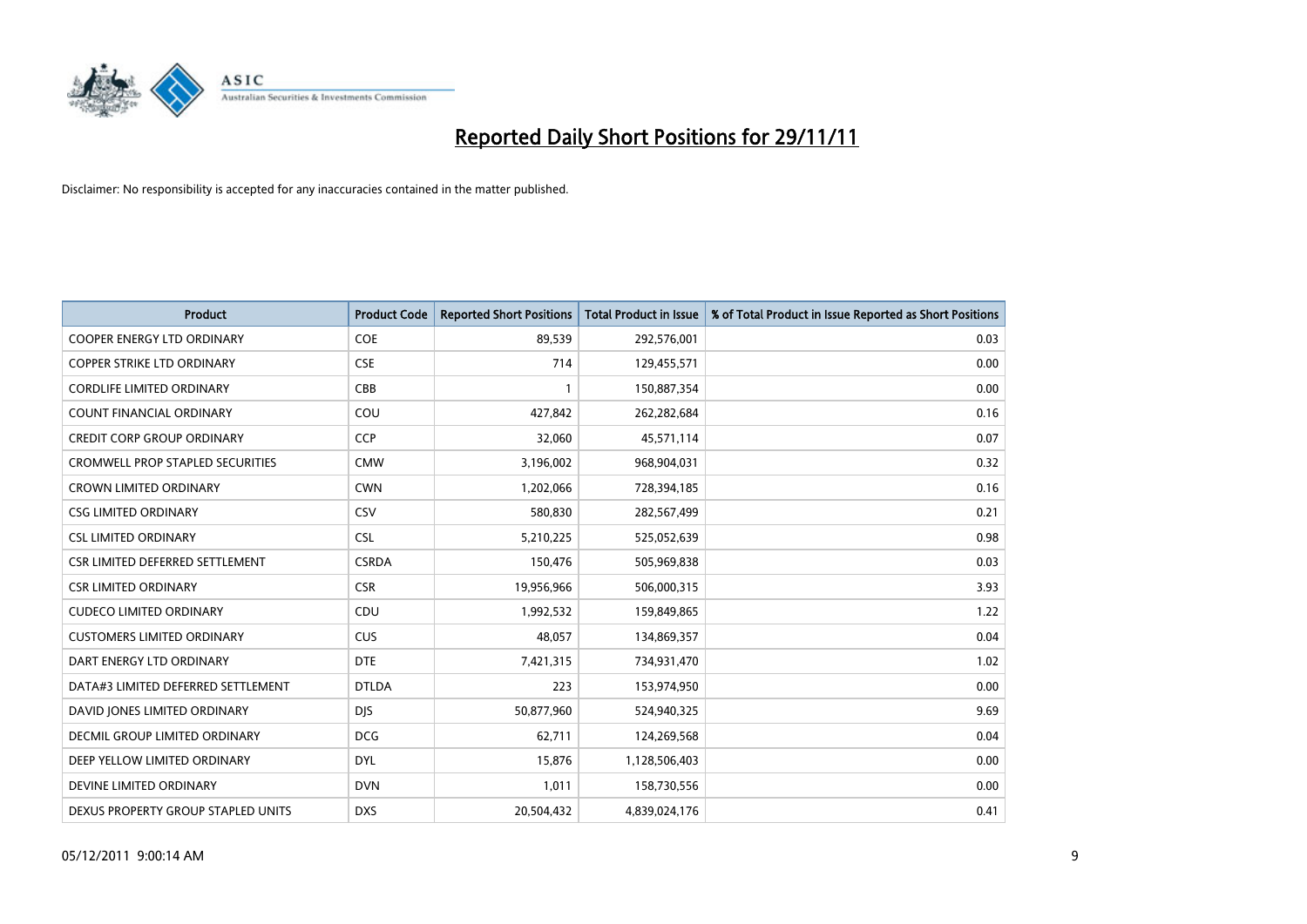

| Product                                 | <b>Product Code</b> | <b>Reported Short Positions</b> | <b>Total Product in Issue</b> | % of Total Product in Issue Reported as Short Positions |
|-----------------------------------------|---------------------|---------------------------------|-------------------------------|---------------------------------------------------------|
| <b>COOPER ENERGY LTD ORDINARY</b>       | <b>COE</b>          | 89,539                          | 292,576,001                   | 0.03                                                    |
| <b>COPPER STRIKE LTD ORDINARY</b>       | <b>CSE</b>          | 714                             | 129,455,571                   | 0.00                                                    |
| <b>CORDLIFE LIMITED ORDINARY</b>        | CBB                 | $\mathbf{1}$                    | 150,887,354                   | 0.00                                                    |
| COUNT FINANCIAL ORDINARY                | COU                 | 427,842                         | 262,282,684                   | 0.16                                                    |
| <b>CREDIT CORP GROUP ORDINARY</b>       | <b>CCP</b>          | 32,060                          | 45,571,114                    | 0.07                                                    |
| <b>CROMWELL PROP STAPLED SECURITIES</b> | <b>CMW</b>          | 3,196,002                       | 968,904,031                   | 0.32                                                    |
| <b>CROWN LIMITED ORDINARY</b>           | <b>CWN</b>          | 1,202,066                       | 728,394,185                   | 0.16                                                    |
| <b>CSG LIMITED ORDINARY</b>             | CSV                 | 580,830                         | 282,567,499                   | 0.21                                                    |
| <b>CSL LIMITED ORDINARY</b>             | <b>CSL</b>          | 5,210,225                       | 525,052,639                   | 0.98                                                    |
| CSR LIMITED DEFERRED SETTLEMENT         | <b>CSRDA</b>        | 150,476                         | 505,969,838                   | 0.03                                                    |
| <b>CSR LIMITED ORDINARY</b>             | <b>CSR</b>          | 19,956,966                      | 506,000,315                   | 3.93                                                    |
| <b>CUDECO LIMITED ORDINARY</b>          | CDU                 | 1,992,532                       | 159,849,865                   | 1.22                                                    |
| <b>CUSTOMERS LIMITED ORDINARY</b>       | <b>CUS</b>          | 48,057                          | 134,869,357                   | 0.04                                                    |
| DART ENERGY LTD ORDINARY                | <b>DTE</b>          | 7,421,315                       | 734,931,470                   | 1.02                                                    |
| DATA#3 LIMITED DEFERRED SETTLEMENT      | <b>DTLDA</b>        | 223                             | 153,974,950                   | 0.00                                                    |
| DAVID JONES LIMITED ORDINARY            | <b>DJS</b>          | 50,877,960                      | 524,940,325                   | 9.69                                                    |
| DECMIL GROUP LIMITED ORDINARY           | <b>DCG</b>          | 62,711                          | 124,269,568                   | 0.04                                                    |
| DEEP YELLOW LIMITED ORDINARY            | <b>DYL</b>          | 15,876                          | 1,128,506,403                 | 0.00                                                    |
| DEVINE LIMITED ORDINARY                 | <b>DVN</b>          | 1,011                           | 158,730,556                   | 0.00                                                    |
| DEXUS PROPERTY GROUP STAPLED UNITS      | <b>DXS</b>          | 20,504,432                      | 4,839,024,176                 | 0.41                                                    |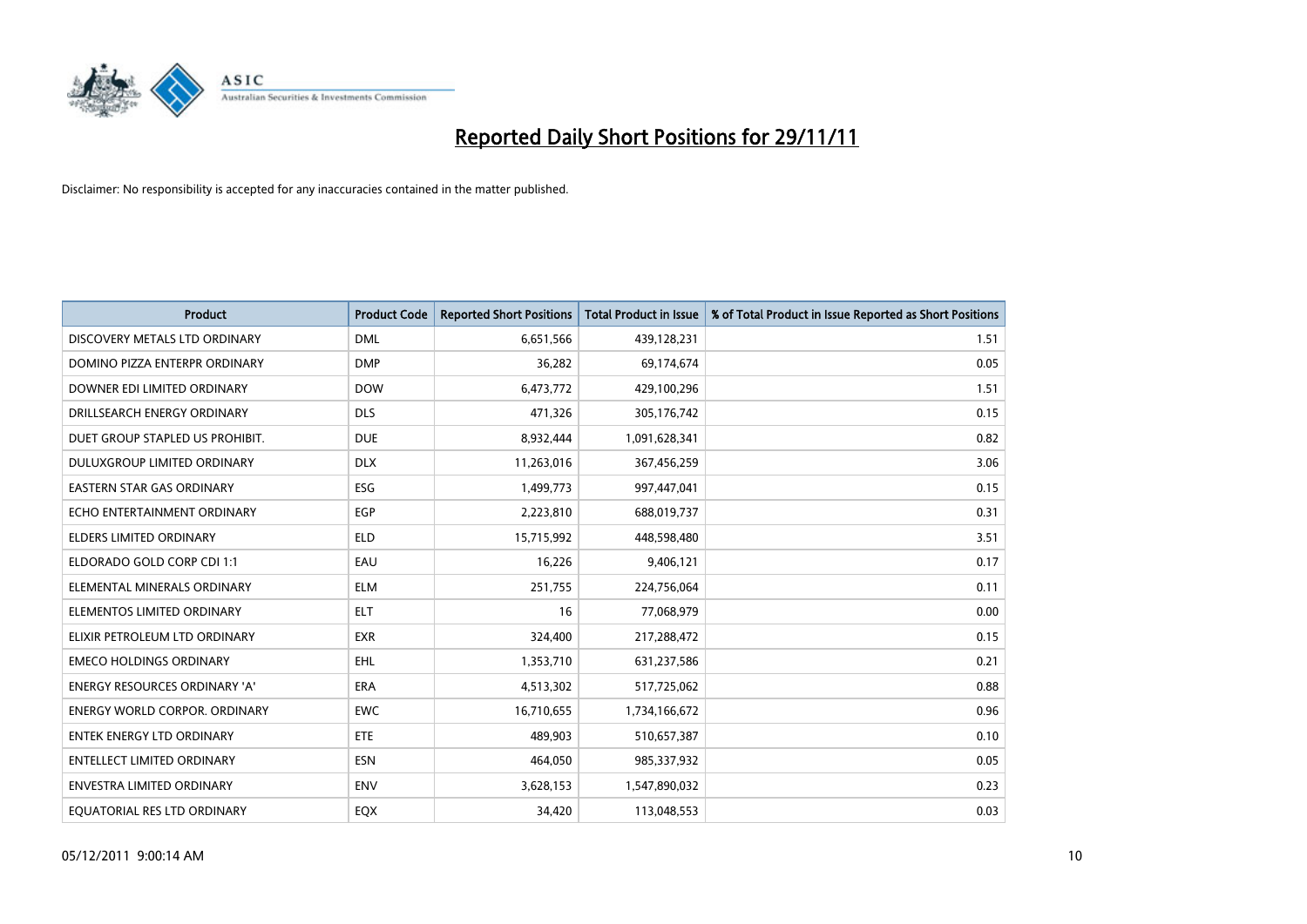

| Product                              | <b>Product Code</b> | <b>Reported Short Positions</b> | <b>Total Product in Issue</b> | % of Total Product in Issue Reported as Short Positions |
|--------------------------------------|---------------------|---------------------------------|-------------------------------|---------------------------------------------------------|
| DISCOVERY METALS LTD ORDINARY        | <b>DML</b>          | 6,651,566                       | 439,128,231                   | 1.51                                                    |
| DOMINO PIZZA ENTERPR ORDINARY        | <b>DMP</b>          | 36,282                          | 69,174,674                    | 0.05                                                    |
| DOWNER EDI LIMITED ORDINARY          | <b>DOW</b>          | 6,473,772                       | 429,100,296                   | 1.51                                                    |
| DRILLSEARCH ENERGY ORDINARY          | <b>DLS</b>          | 471,326                         | 305,176,742                   | 0.15                                                    |
| DUET GROUP STAPLED US PROHIBIT.      | <b>DUE</b>          | 8,932,444                       | 1,091,628,341                 | 0.82                                                    |
| DULUXGROUP LIMITED ORDINARY          | <b>DLX</b>          | 11,263,016                      | 367,456,259                   | 3.06                                                    |
| <b>EASTERN STAR GAS ORDINARY</b>     | ESG                 | 1,499,773                       | 997,447,041                   | 0.15                                                    |
| ECHO ENTERTAINMENT ORDINARY          | <b>EGP</b>          | 2,223,810                       | 688,019,737                   | 0.31                                                    |
| <b>ELDERS LIMITED ORDINARY</b>       | <b>ELD</b>          | 15,715,992                      | 448,598,480                   | 3.51                                                    |
| ELDORADO GOLD CORP CDI 1:1           | EAU                 | 16,226                          | 9,406,121                     | 0.17                                                    |
| ELEMENTAL MINERALS ORDINARY          | <b>ELM</b>          | 251,755                         | 224,756,064                   | 0.11                                                    |
| ELEMENTOS LIMITED ORDINARY           | <b>ELT</b>          | 16                              | 77,068,979                    | 0.00                                                    |
| ELIXIR PETROLEUM LTD ORDINARY        | <b>EXR</b>          | 324,400                         | 217,288,472                   | 0.15                                                    |
| <b>EMECO HOLDINGS ORDINARY</b>       | <b>EHL</b>          | 1,353,710                       | 631,237,586                   | 0.21                                                    |
| ENERGY RESOURCES ORDINARY 'A'        | <b>ERA</b>          | 4,513,302                       | 517,725,062                   | 0.88                                                    |
| <b>ENERGY WORLD CORPOR. ORDINARY</b> | <b>EWC</b>          | 16,710,655                      | 1,734,166,672                 | 0.96                                                    |
| ENTEK ENERGY LTD ORDINARY            | ETE.                | 489,903                         | 510,657,387                   | 0.10                                                    |
| <b>ENTELLECT LIMITED ORDINARY</b>    | <b>ESN</b>          | 464,050                         | 985,337,932                   | 0.05                                                    |
| ENVESTRA LIMITED ORDINARY            | <b>ENV</b>          | 3,628,153                       | 1,547,890,032                 | 0.23                                                    |
| EQUATORIAL RES LTD ORDINARY          | EQX                 | 34,420                          | 113,048,553                   | 0.03                                                    |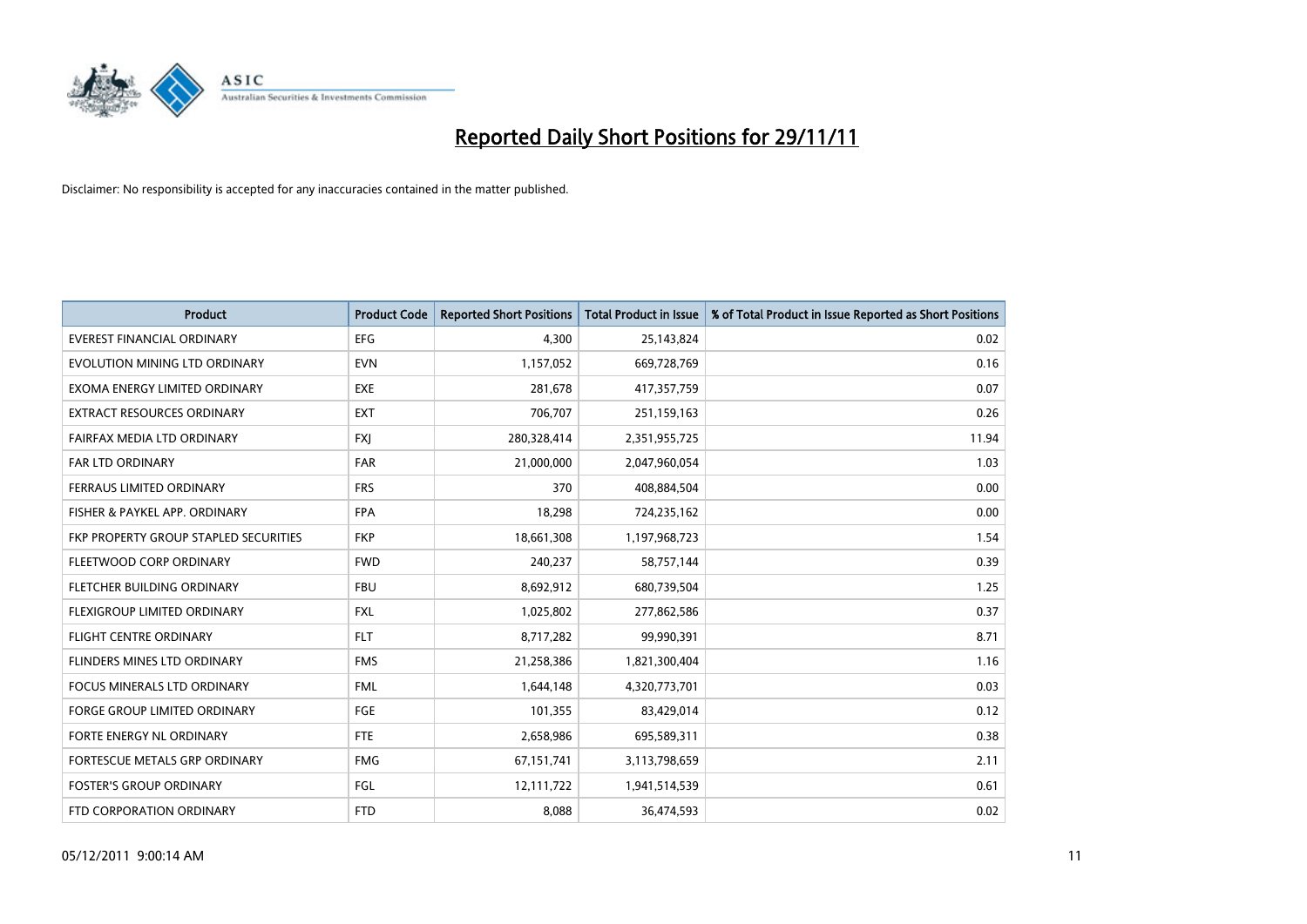

| Product                               | <b>Product Code</b> | <b>Reported Short Positions</b> | <b>Total Product in Issue</b> | % of Total Product in Issue Reported as Short Positions |
|---------------------------------------|---------------------|---------------------------------|-------------------------------|---------------------------------------------------------|
| <b>EVEREST FINANCIAL ORDINARY</b>     | <b>EFG</b>          | 4,300                           | 25,143,824                    | 0.02                                                    |
| EVOLUTION MINING LTD ORDINARY         | <b>EVN</b>          | 1,157,052                       | 669,728,769                   | 0.16                                                    |
| EXOMA ENERGY LIMITED ORDINARY         | <b>EXE</b>          | 281,678                         | 417,357,759                   | 0.07                                                    |
| <b>EXTRACT RESOURCES ORDINARY</b>     | <b>EXT</b>          | 706,707                         | 251,159,163                   | 0.26                                                    |
| FAIRFAX MEDIA LTD ORDINARY            | <b>FXI</b>          | 280,328,414                     | 2,351,955,725                 | 11.94                                                   |
| <b>FAR LTD ORDINARY</b>               | <b>FAR</b>          | 21,000,000                      | 2,047,960,054                 | 1.03                                                    |
| FERRAUS LIMITED ORDINARY              | <b>FRS</b>          | 370                             | 408,884,504                   | 0.00                                                    |
| FISHER & PAYKEL APP. ORDINARY         | <b>FPA</b>          | 18,298                          | 724,235,162                   | 0.00                                                    |
| FKP PROPERTY GROUP STAPLED SECURITIES | <b>FKP</b>          | 18,661,308                      | 1,197,968,723                 | 1.54                                                    |
| FLEETWOOD CORP ORDINARY               | <b>FWD</b>          | 240,237                         | 58,757,144                    | 0.39                                                    |
| FLETCHER BUILDING ORDINARY            | <b>FBU</b>          | 8,692,912                       | 680,739,504                   | 1.25                                                    |
| FLEXIGROUP LIMITED ORDINARY           | <b>FXL</b>          | 1,025,802                       | 277,862,586                   | 0.37                                                    |
| FLIGHT CENTRE ORDINARY                | <b>FLT</b>          | 8,717,282                       | 99,990,391                    | 8.71                                                    |
| FLINDERS MINES LTD ORDINARY           | <b>FMS</b>          | 21,258,386                      | 1,821,300,404                 | 1.16                                                    |
| <b>FOCUS MINERALS LTD ORDINARY</b>    | <b>FML</b>          | 1,644,148                       | 4,320,773,701                 | 0.03                                                    |
| <b>FORGE GROUP LIMITED ORDINARY</b>   | FGE                 | 101,355                         | 83,429,014                    | 0.12                                                    |
| FORTE ENERGY NL ORDINARY              | <b>FTE</b>          | 2,658,986                       | 695,589,311                   | 0.38                                                    |
| FORTESCUE METALS GRP ORDINARY         | <b>FMG</b>          | 67,151,741                      | 3,113,798,659                 | 2.11                                                    |
| <b>FOSTER'S GROUP ORDINARY</b>        | FGL                 | 12,111,722                      | 1,941,514,539                 | 0.61                                                    |
| FTD CORPORATION ORDINARY              | <b>FTD</b>          | 8,088                           | 36,474,593                    | 0.02                                                    |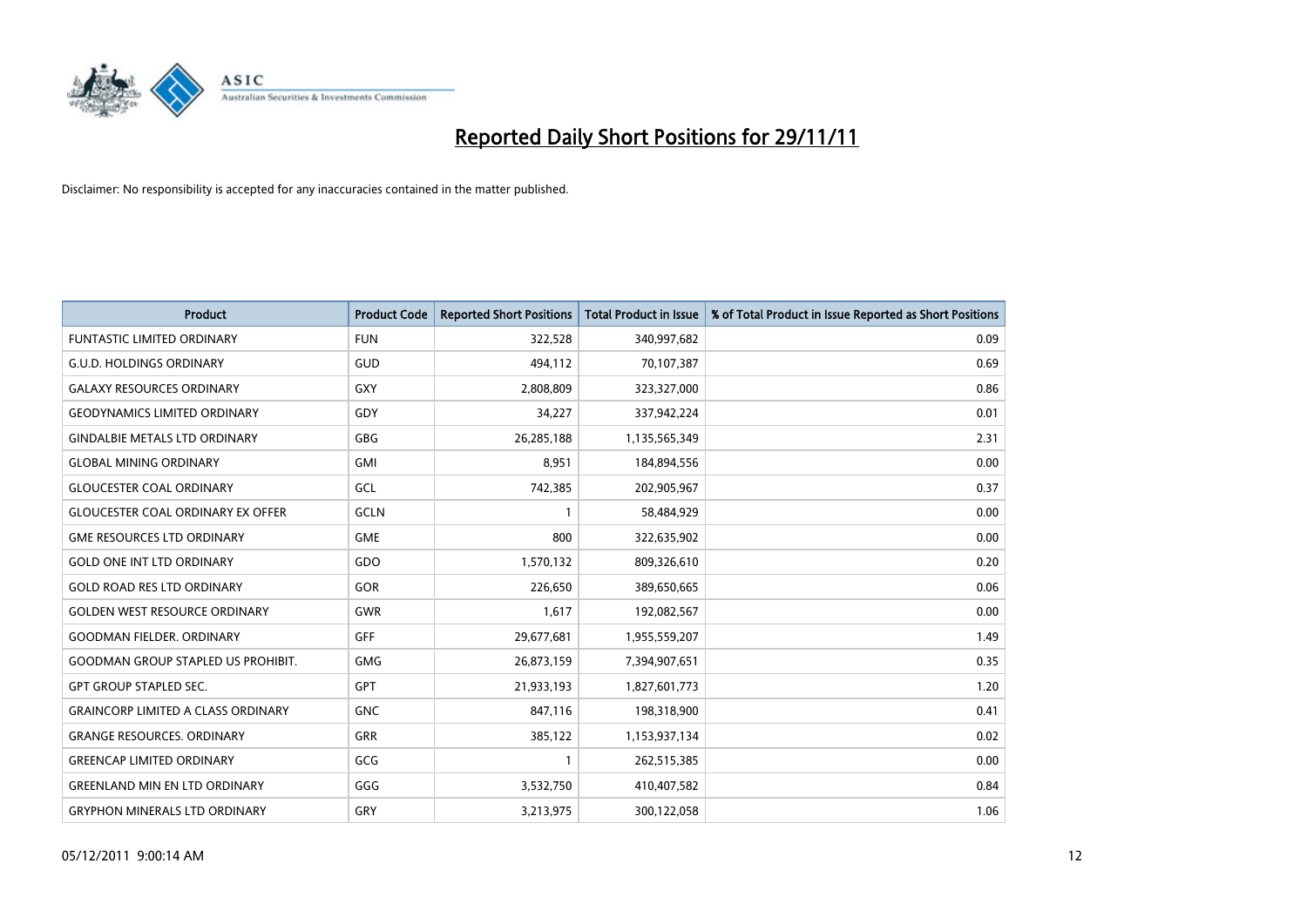

| <b>Product</b>                            | <b>Product Code</b> | <b>Reported Short Positions</b> | <b>Total Product in Issue</b> | % of Total Product in Issue Reported as Short Positions |
|-------------------------------------------|---------------------|---------------------------------|-------------------------------|---------------------------------------------------------|
| <b>FUNTASTIC LIMITED ORDINARY</b>         | <b>FUN</b>          | 322,528                         | 340,997,682                   | 0.09                                                    |
| <b>G.U.D. HOLDINGS ORDINARY</b>           | GUD                 | 494,112                         | 70,107,387                    | 0.69                                                    |
| <b>GALAXY RESOURCES ORDINARY</b>          | <b>GXY</b>          | 2,808,809                       | 323,327,000                   | 0.86                                                    |
| <b>GEODYNAMICS LIMITED ORDINARY</b>       | GDY                 | 34,227                          | 337,942,224                   | 0.01                                                    |
| <b>GINDALBIE METALS LTD ORDINARY</b>      | <b>GBG</b>          | 26,285,188                      | 1,135,565,349                 | 2.31                                                    |
| <b>GLOBAL MINING ORDINARY</b>             | <b>GMI</b>          | 8,951                           | 184,894,556                   | 0.00                                                    |
| <b>GLOUCESTER COAL ORDINARY</b>           | <b>GCL</b>          | 742,385                         | 202,905,967                   | 0.37                                                    |
| <b>GLOUCESTER COAL ORDINARY EX OFFER</b>  | GCLN                | 1                               | 58,484,929                    | 0.00                                                    |
| <b>GME RESOURCES LTD ORDINARY</b>         | <b>GME</b>          | 800                             | 322,635,902                   | 0.00                                                    |
| <b>GOLD ONE INT LTD ORDINARY</b>          | GDO                 | 1,570,132                       | 809,326,610                   | 0.20                                                    |
| <b>GOLD ROAD RES LTD ORDINARY</b>         | GOR                 | 226,650                         | 389,650,665                   | 0.06                                                    |
| <b>GOLDEN WEST RESOURCE ORDINARY</b>      | <b>GWR</b>          | 1,617                           | 192,082,567                   | 0.00                                                    |
| <b>GOODMAN FIELDER, ORDINARY</b>          | <b>GFF</b>          | 29,677,681                      | 1,955,559,207                 | 1.49                                                    |
| <b>GOODMAN GROUP STAPLED US PROHIBIT.</b> | GMG                 | 26,873,159                      | 7,394,907,651                 | 0.35                                                    |
| <b>GPT GROUP STAPLED SEC.</b>             | <b>GPT</b>          | 21,933,193                      | 1,827,601,773                 | 1.20                                                    |
| <b>GRAINCORP LIMITED A CLASS ORDINARY</b> | <b>GNC</b>          | 847,116                         | 198,318,900                   | 0.41                                                    |
| <b>GRANGE RESOURCES. ORDINARY</b>         | GRR                 | 385,122                         | 1,153,937,134                 | 0.02                                                    |
| <b>GREENCAP LIMITED ORDINARY</b>          | GCG                 | 1                               | 262,515,385                   | 0.00                                                    |
| <b>GREENLAND MIN EN LTD ORDINARY</b>      | GGG                 | 3,532,750                       | 410,407,582                   | 0.84                                                    |
| <b>GRYPHON MINERALS LTD ORDINARY</b>      | GRY                 | 3,213,975                       | 300,122,058                   | 1.06                                                    |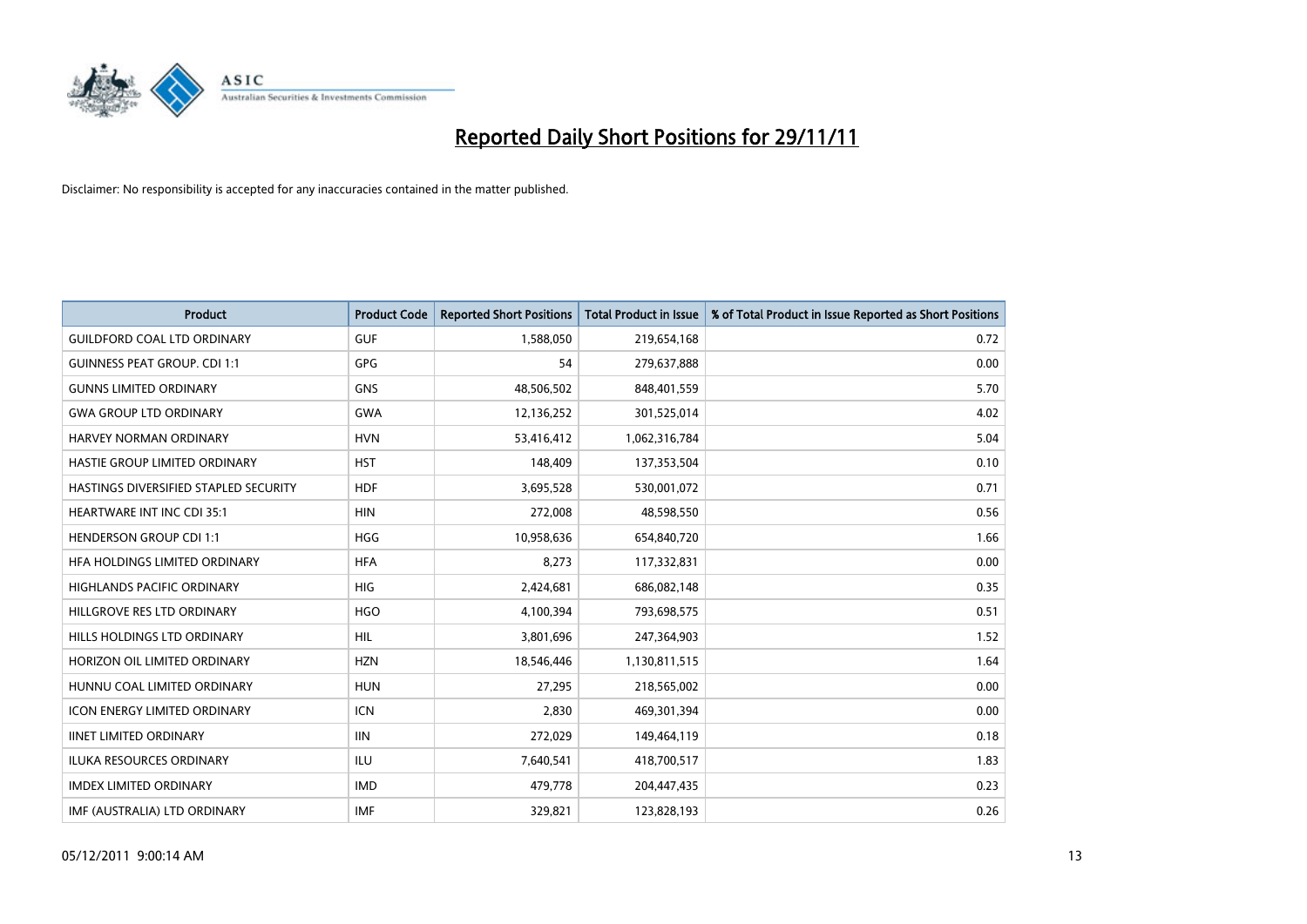

| Product                               | <b>Product Code</b> | <b>Reported Short Positions</b> | <b>Total Product in Issue</b> | % of Total Product in Issue Reported as Short Positions |
|---------------------------------------|---------------------|---------------------------------|-------------------------------|---------------------------------------------------------|
| <b>GUILDFORD COAL LTD ORDINARY</b>    | <b>GUF</b>          | 1,588,050                       | 219,654,168                   | 0.72                                                    |
| <b>GUINNESS PEAT GROUP. CDI 1:1</b>   | <b>GPG</b>          | 54                              | 279,637,888                   | 0.00                                                    |
| <b>GUNNS LIMITED ORDINARY</b>         | <b>GNS</b>          | 48,506,502                      | 848,401,559                   | 5.70                                                    |
| <b>GWA GROUP LTD ORDINARY</b>         | <b>GWA</b>          | 12,136,252                      | 301,525,014                   | 4.02                                                    |
| <b>HARVEY NORMAN ORDINARY</b>         | <b>HVN</b>          | 53,416,412                      | 1,062,316,784                 | 5.04                                                    |
| HASTIE GROUP LIMITED ORDINARY         | <b>HST</b>          | 148,409                         | 137,353,504                   | 0.10                                                    |
| HASTINGS DIVERSIFIED STAPLED SECURITY | <b>HDF</b>          | 3,695,528                       | 530,001,072                   | 0.71                                                    |
| HEARTWARE INT INC CDI 35:1            | <b>HIN</b>          | 272,008                         | 48,598,550                    | 0.56                                                    |
| <b>HENDERSON GROUP CDI 1:1</b>        | <b>HGG</b>          | 10,958,636                      | 654,840,720                   | 1.66                                                    |
| HFA HOLDINGS LIMITED ORDINARY         | <b>HFA</b>          | 8,273                           | 117,332,831                   | 0.00                                                    |
| HIGHLANDS PACIFIC ORDINARY            | <b>HIG</b>          | 2,424,681                       | 686,082,148                   | 0.35                                                    |
| HILLGROVE RES LTD ORDINARY            | <b>HGO</b>          | 4,100,394                       | 793,698,575                   | 0.51                                                    |
| HILLS HOLDINGS LTD ORDINARY           | <b>HIL</b>          | 3,801,696                       | 247,364,903                   | 1.52                                                    |
| HORIZON OIL LIMITED ORDINARY          | <b>HZN</b>          | 18,546,446                      | 1,130,811,515                 | 1.64                                                    |
| HUNNU COAL LIMITED ORDINARY           | <b>HUN</b>          | 27,295                          | 218,565,002                   | 0.00                                                    |
| <b>ICON ENERGY LIMITED ORDINARY</b>   | <b>ICN</b>          | 2,830                           | 469,301,394                   | 0.00                                                    |
| <b>IINET LIMITED ORDINARY</b>         | <b>IIN</b>          | 272,029                         | 149,464,119                   | 0.18                                                    |
| <b>ILUKA RESOURCES ORDINARY</b>       | ILU                 | 7,640,541                       | 418,700,517                   | 1.83                                                    |
| <b>IMDEX LIMITED ORDINARY</b>         | <b>IMD</b>          | 479,778                         | 204,447,435                   | 0.23                                                    |
| IMF (AUSTRALIA) LTD ORDINARY          | <b>IMF</b>          | 329,821                         | 123,828,193                   | 0.26                                                    |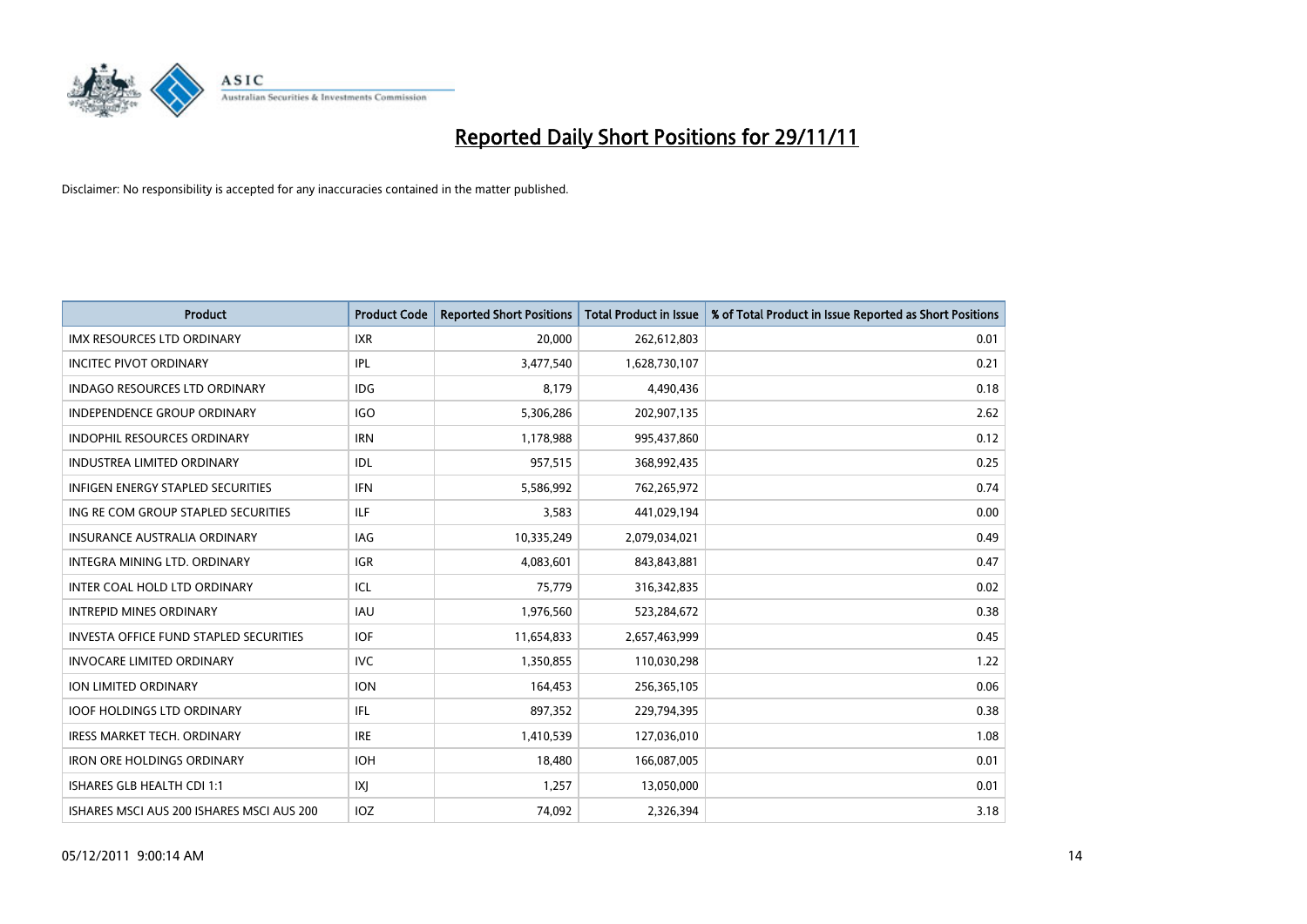

| Product                                       | <b>Product Code</b> | <b>Reported Short Positions</b> | <b>Total Product in Issue</b> | % of Total Product in Issue Reported as Short Positions |
|-----------------------------------------------|---------------------|---------------------------------|-------------------------------|---------------------------------------------------------|
| <b>IMX RESOURCES LTD ORDINARY</b>             | <b>IXR</b>          | 20,000                          | 262,612,803                   | 0.01                                                    |
| <b>INCITEC PIVOT ORDINARY</b>                 | IPL                 | 3,477,540                       | 1,628,730,107                 | 0.21                                                    |
| <b>INDAGO RESOURCES LTD ORDINARY</b>          | <b>IDG</b>          | 8,179                           | 4,490,436                     | 0.18                                                    |
| <b>INDEPENDENCE GROUP ORDINARY</b>            | <b>IGO</b>          | 5,306,286                       | 202,907,135                   | 2.62                                                    |
| <b>INDOPHIL RESOURCES ORDINARY</b>            | <b>IRN</b>          | 1,178,988                       | 995,437,860                   | 0.12                                                    |
| <b>INDUSTREA LIMITED ORDINARY</b>             | IDL                 | 957,515                         | 368,992,435                   | 0.25                                                    |
| <b>INFIGEN ENERGY STAPLED SECURITIES</b>      | <b>IFN</b>          | 5,586,992                       | 762,265,972                   | 0.74                                                    |
| ING RE COM GROUP STAPLED SECURITIES           | ILF                 | 3,583                           | 441,029,194                   | 0.00                                                    |
| INSURANCE AUSTRALIA ORDINARY                  | IAG                 | 10,335,249                      | 2,079,034,021                 | 0.49                                                    |
| INTEGRA MINING LTD, ORDINARY                  | <b>IGR</b>          | 4,083,601                       | 843,843,881                   | 0.47                                                    |
| INTER COAL HOLD LTD ORDINARY                  | ICL                 | 75,779                          | 316,342,835                   | 0.02                                                    |
| <b>INTREPID MINES ORDINARY</b>                | IAU                 | 1,976,560                       | 523,284,672                   | 0.38                                                    |
| <b>INVESTA OFFICE FUND STAPLED SECURITIES</b> | <b>IOF</b>          | 11,654,833                      | 2,657,463,999                 | 0.45                                                    |
| <b>INVOCARE LIMITED ORDINARY</b>              | <b>IVC</b>          | 1,350,855                       | 110,030,298                   | 1.22                                                    |
| <b>ION LIMITED ORDINARY</b>                   | <b>ION</b>          | 164,453                         | 256,365,105                   | 0.06                                                    |
| <b>IOOF HOLDINGS LTD ORDINARY</b>             | IFL.                | 897,352                         | 229,794,395                   | 0.38                                                    |
| <b>IRESS MARKET TECH. ORDINARY</b>            | <b>IRE</b>          | 1,410,539                       | 127,036,010                   | 1.08                                                    |
| <b>IRON ORE HOLDINGS ORDINARY</b>             | <b>IOH</b>          | 18,480                          | 166,087,005                   | 0.01                                                    |
| ISHARES GLB HEALTH CDI 1:1                    | IXJ                 | 1,257                           | 13,050,000                    | 0.01                                                    |
| ISHARES MSCI AUS 200 ISHARES MSCI AUS 200     | IOZ                 | 74,092                          | 2,326,394                     | 3.18                                                    |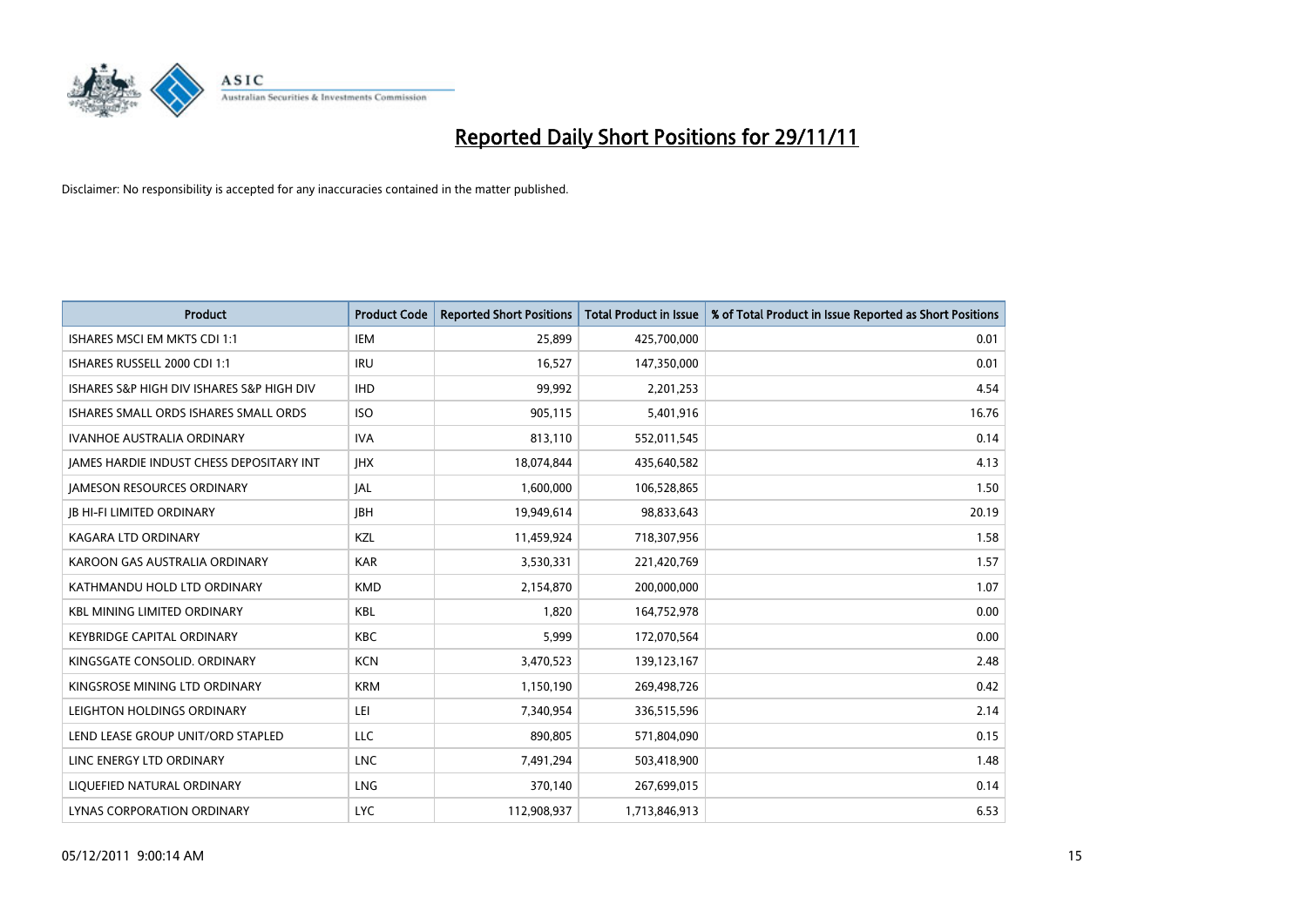

| <b>Product</b>                            | <b>Product Code</b> | <b>Reported Short Positions</b> | Total Product in Issue | % of Total Product in Issue Reported as Short Positions |
|-------------------------------------------|---------------------|---------------------------------|------------------------|---------------------------------------------------------|
| ISHARES MSCI EM MKTS CDI 1:1              | <b>IEM</b>          | 25,899                          | 425,700,000            | 0.01                                                    |
| ISHARES RUSSELL 2000 CDI 1:1              | <b>IRU</b>          | 16,527                          | 147,350,000            | 0.01                                                    |
| ISHARES S&P HIGH DIV ISHARES S&P HIGH DIV | <b>IHD</b>          | 99,992                          | 2,201,253              | 4.54                                                    |
| ISHARES SMALL ORDS ISHARES SMALL ORDS     | <b>ISO</b>          | 905,115                         | 5,401,916              | 16.76                                                   |
| <b>IVANHOE AUSTRALIA ORDINARY</b>         | <b>IVA</b>          | 813,110                         | 552,011,545            | 0.14                                                    |
| JAMES HARDIE INDUST CHESS DEPOSITARY INT  | <b>JHX</b>          | 18,074,844                      | 435,640,582            | 4.13                                                    |
| <b>JAMESON RESOURCES ORDINARY</b>         | <b>JAL</b>          | 1,600,000                       | 106,528,865            | 1.50                                                    |
| <b>JB HI-FI LIMITED ORDINARY</b>          | <b>IBH</b>          | 19,949,614                      | 98,833,643             | 20.19                                                   |
| <b>KAGARA LTD ORDINARY</b>                | KZL                 | 11,459,924                      | 718,307,956            | 1.58                                                    |
| KAROON GAS AUSTRALIA ORDINARY             | <b>KAR</b>          | 3,530,331                       | 221,420,769            | 1.57                                                    |
| KATHMANDU HOLD LTD ORDINARY               | <b>KMD</b>          | 2,154,870                       | 200,000,000            | 1.07                                                    |
| <b>KBL MINING LIMITED ORDINARY</b>        | KBL                 | 1,820                           | 164,752,978            | 0.00                                                    |
| <b>KEYBRIDGE CAPITAL ORDINARY</b>         | <b>KBC</b>          | 5.999                           | 172,070,564            | 0.00                                                    |
| KINGSGATE CONSOLID. ORDINARY              | <b>KCN</b>          | 3,470,523                       | 139,123,167            | 2.48                                                    |
| KINGSROSE MINING LTD ORDINARY             | <b>KRM</b>          | 1,150,190                       | 269,498,726            | 0.42                                                    |
| LEIGHTON HOLDINGS ORDINARY                | LEI.                | 7,340,954                       | 336,515,596            | 2.14                                                    |
| LEND LEASE GROUP UNIT/ORD STAPLED         | <b>LLC</b>          | 890,805                         | 571,804,090            | 0.15                                                    |
| LINC ENERGY LTD ORDINARY                  | <b>LNC</b>          | 7,491,294                       | 503,418,900            | 1.48                                                    |
| LIOUEFIED NATURAL ORDINARY                | <b>LNG</b>          | 370,140                         | 267,699,015            | 0.14                                                    |
| <b>LYNAS CORPORATION ORDINARY</b>         | <b>LYC</b>          | 112,908,937                     | 1,713,846,913          | 6.53                                                    |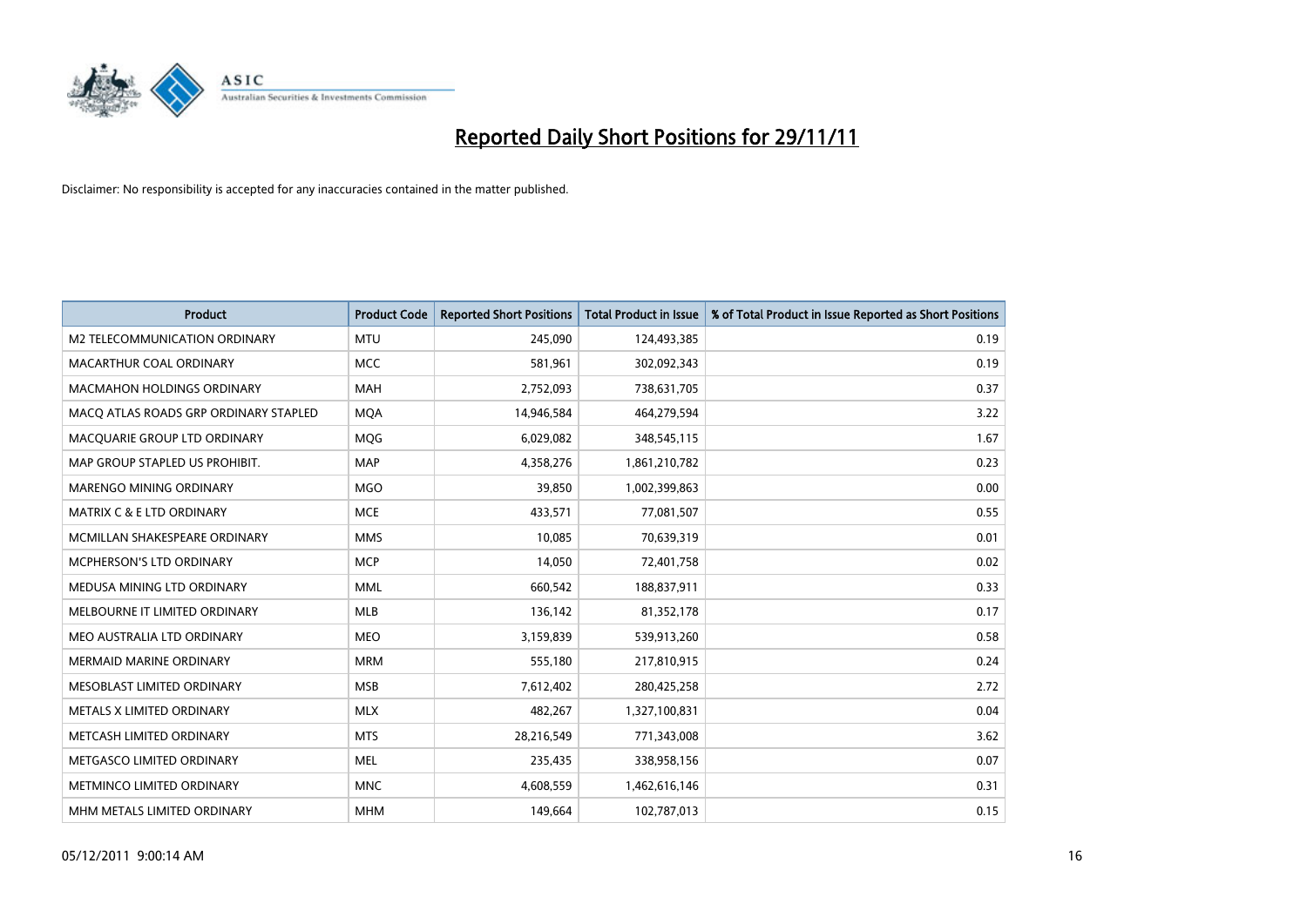

| <b>Product</b>                        | <b>Product Code</b> | <b>Reported Short Positions</b> | <b>Total Product in Issue</b> | % of Total Product in Issue Reported as Short Positions |
|---------------------------------------|---------------------|---------------------------------|-------------------------------|---------------------------------------------------------|
| M2 TELECOMMUNICATION ORDINARY         | <b>MTU</b>          | 245,090                         | 124,493,385                   | 0.19                                                    |
| MACARTHUR COAL ORDINARY               | <b>MCC</b>          | 581,961                         | 302,092,343                   | 0.19                                                    |
| <b>MACMAHON HOLDINGS ORDINARY</b>     | <b>MAH</b>          | 2,752,093                       | 738,631,705                   | 0.37                                                    |
| MACQ ATLAS ROADS GRP ORDINARY STAPLED | <b>MQA</b>          | 14,946,584                      | 464,279,594                   | 3.22                                                    |
| MACQUARIE GROUP LTD ORDINARY          | <b>MOG</b>          | 6,029,082                       | 348,545,115                   | 1.67                                                    |
| MAP GROUP STAPLED US PROHIBIT.        | <b>MAP</b>          | 4,358,276                       | 1,861,210,782                 | 0.23                                                    |
| <b>MARENGO MINING ORDINARY</b>        | <b>MGO</b>          | 39,850                          | 1,002,399,863                 | 0.00                                                    |
| MATRIX C & E LTD ORDINARY             | <b>MCE</b>          | 433,571                         | 77,081,507                    | 0.55                                                    |
| MCMILLAN SHAKESPEARE ORDINARY         | <b>MMS</b>          | 10,085                          | 70,639,319                    | 0.01                                                    |
| MCPHERSON'S LTD ORDINARY              | <b>MCP</b>          | 14,050                          | 72,401,758                    | 0.02                                                    |
| MEDUSA MINING LTD ORDINARY            | <b>MML</b>          | 660,542                         | 188,837,911                   | 0.33                                                    |
| MELBOURNE IT LIMITED ORDINARY         | <b>MLB</b>          | 136,142                         | 81,352,178                    | 0.17                                                    |
| MEO AUSTRALIA LTD ORDINARY            | <b>MEO</b>          | 3,159,839                       | 539,913,260                   | 0.58                                                    |
| <b>MERMAID MARINE ORDINARY</b>        | <b>MRM</b>          | 555,180                         | 217,810,915                   | 0.24                                                    |
| MESOBLAST LIMITED ORDINARY            | <b>MSB</b>          | 7,612,402                       | 280,425,258                   | 2.72                                                    |
| METALS X LIMITED ORDINARY             | <b>MLX</b>          | 482,267                         | 1,327,100,831                 | 0.04                                                    |
| METCASH LIMITED ORDINARY              | <b>MTS</b>          | 28,216,549                      | 771,343,008                   | 3.62                                                    |
| METGASCO LIMITED ORDINARY             | <b>MEL</b>          | 235,435                         | 338,958,156                   | 0.07                                                    |
| METMINCO LIMITED ORDINARY             | <b>MNC</b>          | 4,608,559                       | 1,462,616,146                 | 0.31                                                    |
| MHM METALS LIMITED ORDINARY           | <b>MHM</b>          | 149,664                         | 102,787,013                   | 0.15                                                    |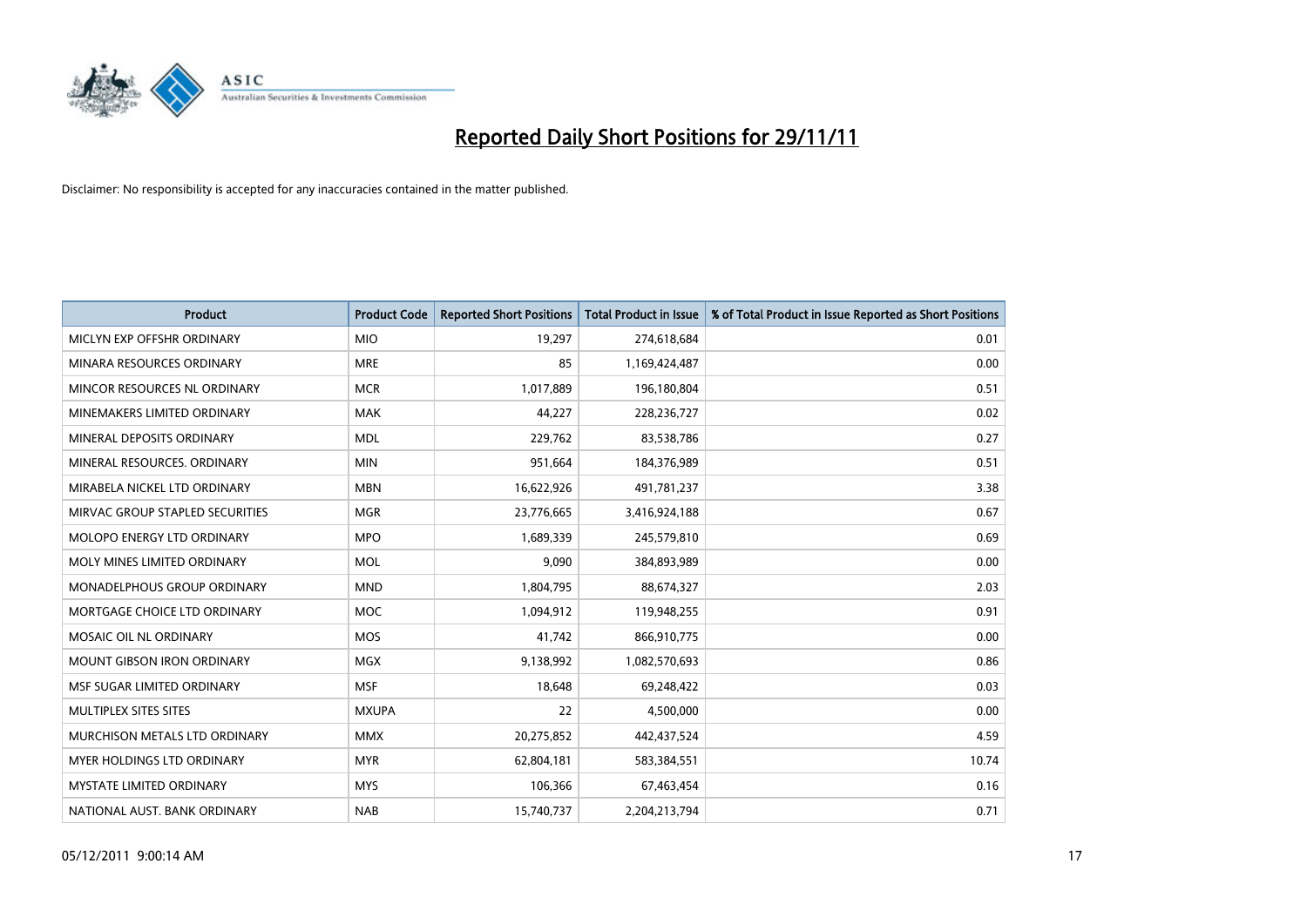

| Product                           | <b>Product Code</b> | <b>Reported Short Positions</b> | <b>Total Product in Issue</b> | % of Total Product in Issue Reported as Short Positions |
|-----------------------------------|---------------------|---------------------------------|-------------------------------|---------------------------------------------------------|
| MICLYN EXP OFFSHR ORDINARY        | <b>MIO</b>          | 19,297                          | 274,618,684                   | 0.01                                                    |
| MINARA RESOURCES ORDINARY         | <b>MRE</b>          | 85                              | 1,169,424,487                 | 0.00                                                    |
| MINCOR RESOURCES NL ORDINARY      | <b>MCR</b>          | 1,017,889                       | 196,180,804                   | 0.51                                                    |
| MINEMAKERS LIMITED ORDINARY       | <b>MAK</b>          | 44,227                          | 228,236,727                   | 0.02                                                    |
| MINERAL DEPOSITS ORDINARY         | <b>MDL</b>          | 229,762                         | 83,538,786                    | 0.27                                                    |
| MINERAL RESOURCES, ORDINARY       | <b>MIN</b>          | 951,664                         | 184,376,989                   | 0.51                                                    |
| MIRABELA NICKEL LTD ORDINARY      | <b>MBN</b>          | 16,622,926                      | 491,781,237                   | 3.38                                                    |
| MIRVAC GROUP STAPLED SECURITIES   | <b>MGR</b>          | 23,776,665                      | 3,416,924,188                 | 0.67                                                    |
| <b>MOLOPO ENERGY LTD ORDINARY</b> | <b>MPO</b>          | 1,689,339                       | 245,579,810                   | 0.69                                                    |
| MOLY MINES LIMITED ORDINARY       | <b>MOL</b>          | 9,090                           | 384,893,989                   | 0.00                                                    |
| MONADELPHOUS GROUP ORDINARY       | <b>MND</b>          | 1,804,795                       | 88,674,327                    | 2.03                                                    |
| MORTGAGE CHOICE LTD ORDINARY      | <b>MOC</b>          | 1,094,912                       | 119,948,255                   | 0.91                                                    |
| MOSAIC OIL NL ORDINARY            | <b>MOS</b>          | 41,742                          | 866,910,775                   | 0.00                                                    |
| <b>MOUNT GIBSON IRON ORDINARY</b> | <b>MGX</b>          | 9,138,992                       | 1,082,570,693                 | 0.86                                                    |
| MSF SUGAR LIMITED ORDINARY        | <b>MSF</b>          | 18,648                          | 69,248,422                    | 0.03                                                    |
| MULTIPLEX SITES SITES             | <b>MXUPA</b>        | 22                              | 4,500,000                     | 0.00                                                    |
| MURCHISON METALS LTD ORDINARY     | <b>MMX</b>          | 20,275,852                      | 442,437,524                   | 4.59                                                    |
| <b>MYER HOLDINGS LTD ORDINARY</b> | <b>MYR</b>          | 62,804,181                      | 583,384,551                   | 10.74                                                   |
| <b>MYSTATE LIMITED ORDINARY</b>   | <b>MYS</b>          | 106,366                         | 67,463,454                    | 0.16                                                    |
| NATIONAL AUST. BANK ORDINARY      | <b>NAB</b>          | 15,740,737                      | 2,204,213,794                 | 0.71                                                    |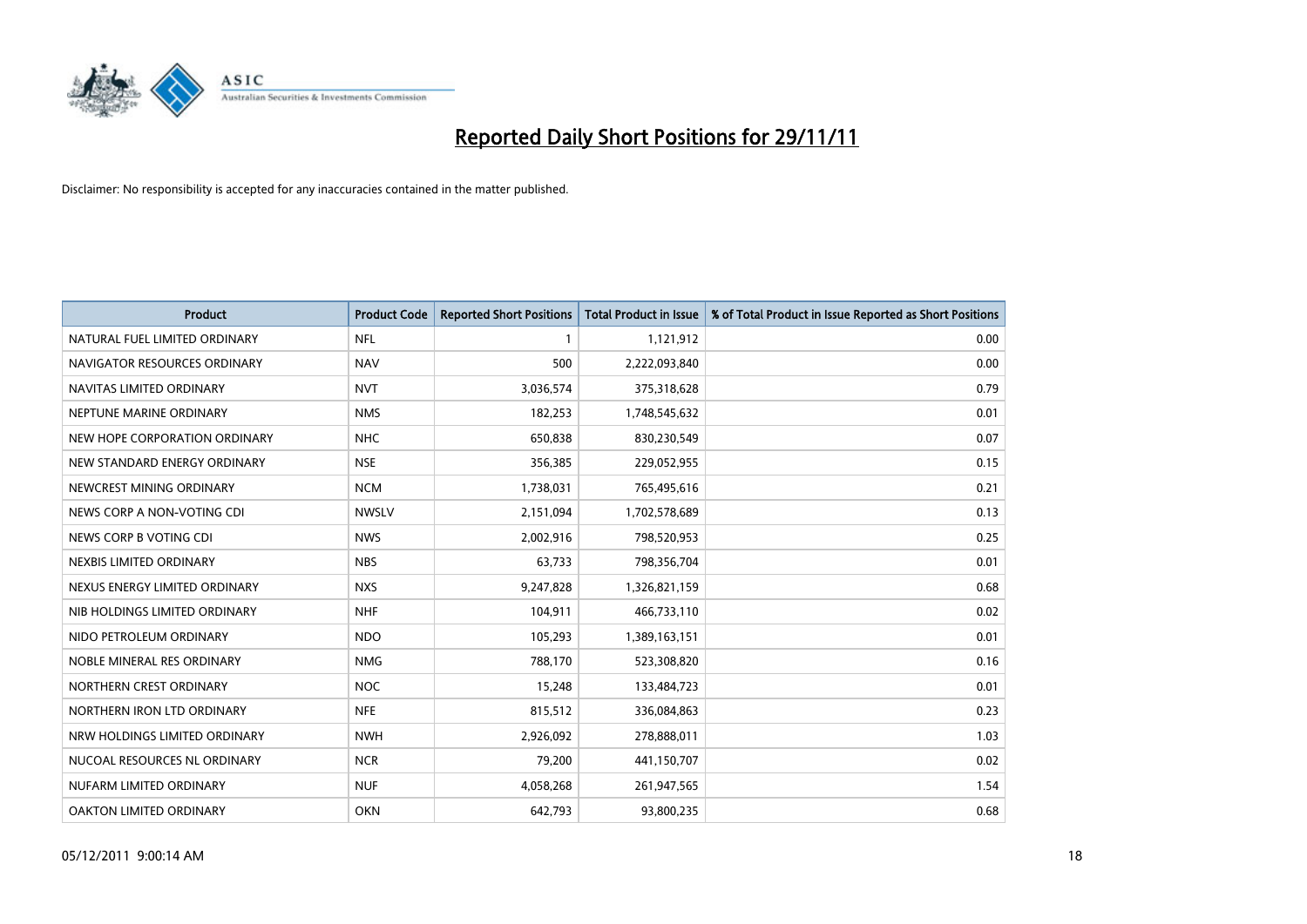

| Product                       | <b>Product Code</b> | <b>Reported Short Positions</b> | <b>Total Product in Issue</b> | % of Total Product in Issue Reported as Short Positions |
|-------------------------------|---------------------|---------------------------------|-------------------------------|---------------------------------------------------------|
| NATURAL FUEL LIMITED ORDINARY | <b>NFL</b>          | 1                               | 1,121,912                     | 0.00                                                    |
| NAVIGATOR RESOURCES ORDINARY  | <b>NAV</b>          | 500                             | 2,222,093,840                 | 0.00                                                    |
| NAVITAS LIMITED ORDINARY      | <b>NVT</b>          | 3,036,574                       | 375,318,628                   | 0.79                                                    |
| NEPTUNE MARINE ORDINARY       | <b>NMS</b>          | 182,253                         | 1,748,545,632                 | 0.01                                                    |
| NEW HOPE CORPORATION ORDINARY | <b>NHC</b>          | 650,838                         | 830,230,549                   | 0.07                                                    |
| NEW STANDARD ENERGY ORDINARY  | <b>NSE</b>          | 356,385                         | 229,052,955                   | 0.15                                                    |
| NEWCREST MINING ORDINARY      | <b>NCM</b>          | 1,738,031                       | 765,495,616                   | 0.21                                                    |
| NEWS CORP A NON-VOTING CDI    | <b>NWSLV</b>        | 2,151,094                       | 1,702,578,689                 | 0.13                                                    |
| NEWS CORP B VOTING CDI        | <b>NWS</b>          | 2,002,916                       | 798,520,953                   | 0.25                                                    |
| NEXBIS LIMITED ORDINARY       | <b>NBS</b>          | 63,733                          | 798,356,704                   | 0.01                                                    |
| NEXUS ENERGY LIMITED ORDINARY | <b>NXS</b>          | 9,247,828                       | 1,326,821,159                 | 0.68                                                    |
| NIB HOLDINGS LIMITED ORDINARY | <b>NHF</b>          | 104,911                         | 466,733,110                   | 0.02                                                    |
| NIDO PETROLEUM ORDINARY       | <b>NDO</b>          | 105,293                         | 1,389,163,151                 | 0.01                                                    |
| NOBLE MINERAL RES ORDINARY    | <b>NMG</b>          | 788,170                         | 523,308,820                   | 0.16                                                    |
| NORTHERN CREST ORDINARY       | <b>NOC</b>          | 15,248                          | 133,484,723                   | 0.01                                                    |
| NORTHERN IRON LTD ORDINARY    | <b>NFE</b>          | 815,512                         | 336,084,863                   | 0.23                                                    |
| NRW HOLDINGS LIMITED ORDINARY | <b>NWH</b>          | 2,926,092                       | 278,888,011                   | 1.03                                                    |
| NUCOAL RESOURCES NL ORDINARY  | <b>NCR</b>          | 79,200                          | 441,150,707                   | 0.02                                                    |
| NUFARM LIMITED ORDINARY       | <b>NUF</b>          | 4,058,268                       | 261,947,565                   | 1.54                                                    |
| OAKTON LIMITED ORDINARY       | <b>OKN</b>          | 642,793                         | 93,800,235                    | 0.68                                                    |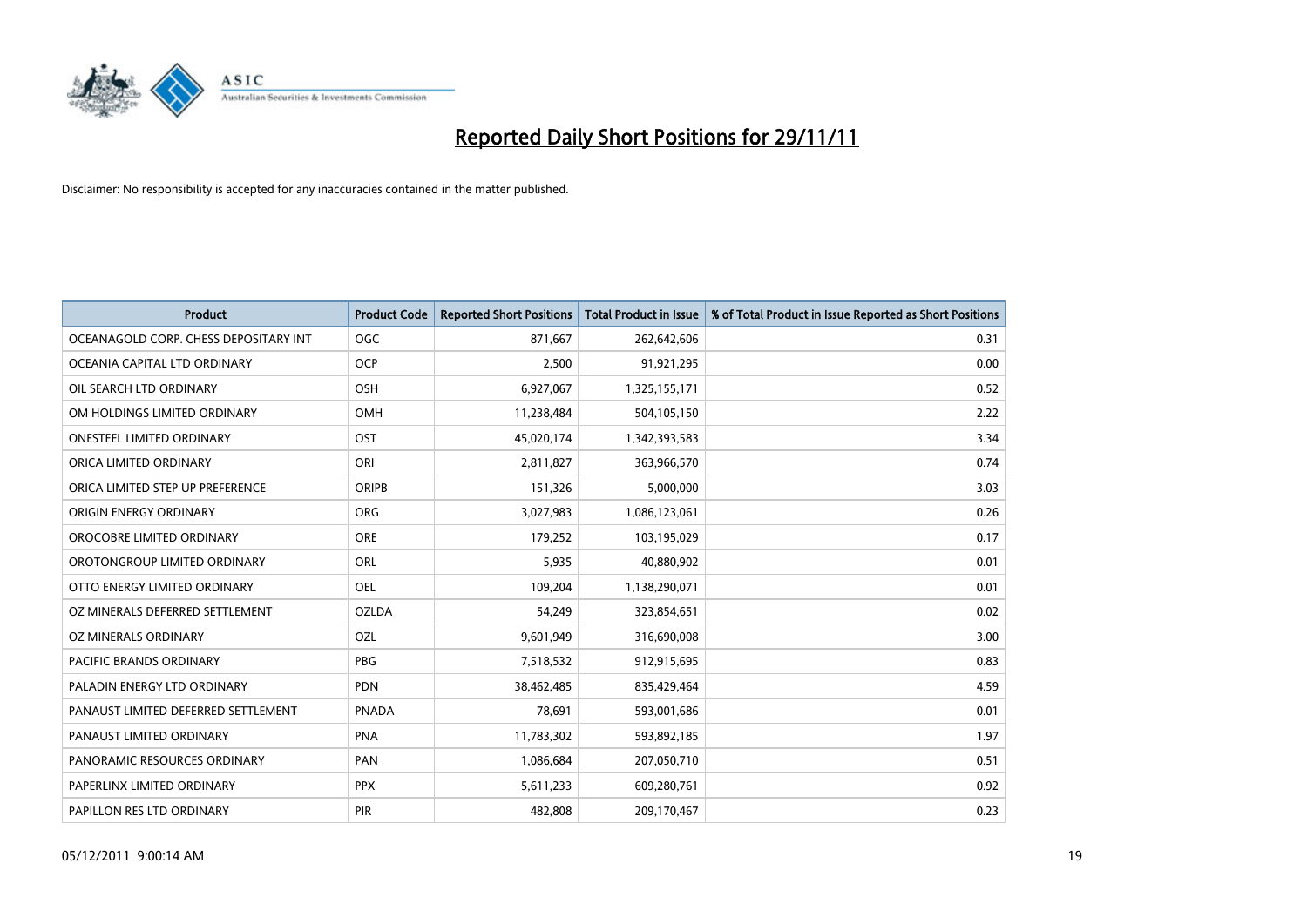

| Product                               | <b>Product Code</b> | <b>Reported Short Positions</b> | <b>Total Product in Issue</b> | % of Total Product in Issue Reported as Short Positions |
|---------------------------------------|---------------------|---------------------------------|-------------------------------|---------------------------------------------------------|
| OCEANAGOLD CORP. CHESS DEPOSITARY INT | <b>OGC</b>          | 871,667                         | 262,642,606                   | 0.31                                                    |
| OCEANIA CAPITAL LTD ORDINARY          | <b>OCP</b>          | 2,500                           | 91,921,295                    | 0.00                                                    |
| OIL SEARCH LTD ORDINARY               | <b>OSH</b>          | 6,927,067                       | 1,325,155,171                 | 0.52                                                    |
| OM HOLDINGS LIMITED ORDINARY          | OMH                 | 11,238,484                      | 504,105,150                   | 2.22                                                    |
| <b>ONESTEEL LIMITED ORDINARY</b>      | OST                 | 45,020,174                      | 1,342,393,583                 | 3.34                                                    |
| ORICA LIMITED ORDINARY                | ORI                 | 2,811,827                       | 363,966,570                   | 0.74                                                    |
| ORICA LIMITED STEP UP PREFERENCE      | <b>ORIPB</b>        | 151,326                         | 5,000,000                     | 3.03                                                    |
| ORIGIN ENERGY ORDINARY                | ORG                 | 3,027,983                       | 1,086,123,061                 | 0.26                                                    |
| OROCOBRE LIMITED ORDINARY             | <b>ORE</b>          | 179,252                         | 103,195,029                   | 0.17                                                    |
| OROTONGROUP LIMITED ORDINARY          | <b>ORL</b>          | 5,935                           | 40,880,902                    | 0.01                                                    |
| OTTO ENERGY LIMITED ORDINARY          | <b>OEL</b>          | 109,204                         | 1,138,290,071                 | 0.01                                                    |
| OZ MINERALS DEFERRED SETTLEMENT       | <b>OZLDA</b>        | 54,249                          | 323,854,651                   | 0.02                                                    |
| OZ MINERALS ORDINARY                  | OZL                 | 9,601,949                       | 316,690,008                   | 3.00                                                    |
| <b>PACIFIC BRANDS ORDINARY</b>        | <b>PBG</b>          | 7,518,532                       | 912,915,695                   | 0.83                                                    |
| PALADIN ENERGY LTD ORDINARY           | <b>PDN</b>          | 38,462,485                      | 835,429,464                   | 4.59                                                    |
| PANAUST LIMITED DEFERRED SETTLEMENT   | <b>PNADA</b>        | 78,691                          | 593,001,686                   | 0.01                                                    |
| PANAUST LIMITED ORDINARY              | <b>PNA</b>          | 11,783,302                      | 593,892,185                   | 1.97                                                    |
| PANORAMIC RESOURCES ORDINARY          | PAN                 | 1,086,684                       | 207,050,710                   | 0.51                                                    |
| PAPERLINX LIMITED ORDINARY            | <b>PPX</b>          | 5,611,233                       | 609,280,761                   | 0.92                                                    |
| PAPILLON RES LTD ORDINARY             | PIR                 | 482,808                         | 209,170,467                   | 0.23                                                    |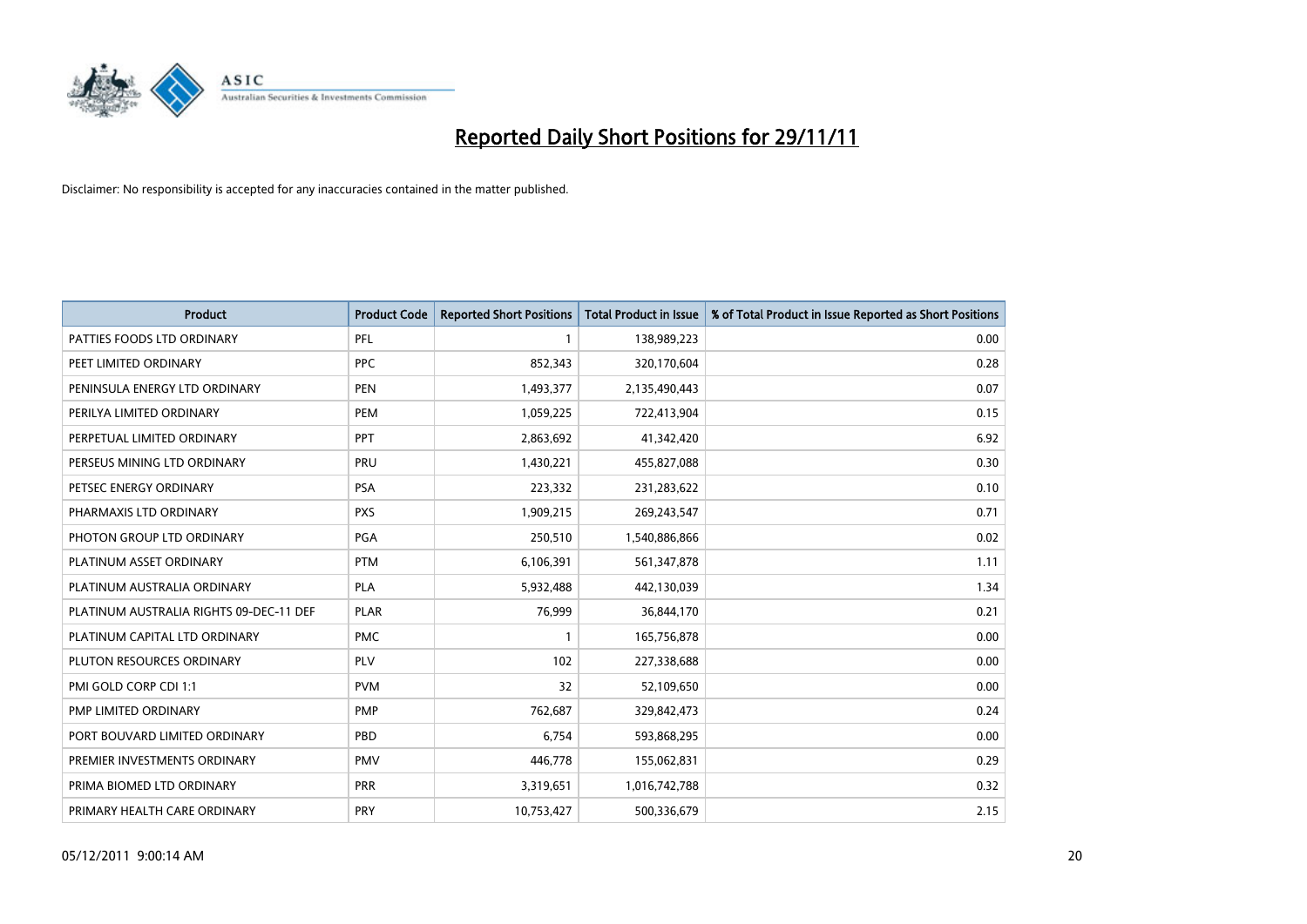

| Product                                 | <b>Product Code</b> | <b>Reported Short Positions</b> | <b>Total Product in Issue</b> | % of Total Product in Issue Reported as Short Positions |
|-----------------------------------------|---------------------|---------------------------------|-------------------------------|---------------------------------------------------------|
| PATTIES FOODS LTD ORDINARY              | PFL                 | 1                               | 138,989,223                   | 0.00                                                    |
| PEET LIMITED ORDINARY                   | <b>PPC</b>          | 852,343                         | 320,170,604                   | 0.28                                                    |
| PENINSULA ENERGY LTD ORDINARY           | <b>PEN</b>          | 1,493,377                       | 2,135,490,443                 | 0.07                                                    |
| PERILYA LIMITED ORDINARY                | PEM                 | 1,059,225                       | 722,413,904                   | 0.15                                                    |
| PERPETUAL LIMITED ORDINARY              | PPT                 | 2,863,692                       | 41,342,420                    | 6.92                                                    |
| PERSEUS MINING LTD ORDINARY             | PRU                 | 1,430,221                       | 455,827,088                   | 0.30                                                    |
| PETSEC ENERGY ORDINARY                  | PSA                 | 223,332                         | 231,283,622                   | 0.10                                                    |
| PHARMAXIS LTD ORDINARY                  | <b>PXS</b>          | 1,909,215                       | 269,243,547                   | 0.71                                                    |
| PHOTON GROUP LTD ORDINARY               | <b>PGA</b>          | 250,510                         | 1,540,886,866                 | 0.02                                                    |
| PLATINUM ASSET ORDINARY                 | <b>PTM</b>          | 6,106,391                       | 561,347,878                   | 1.11                                                    |
| PLATINUM AUSTRALIA ORDINARY             | PLA                 | 5,932,488                       | 442,130,039                   | 1.34                                                    |
| PLATINUM AUSTRALIA RIGHTS 09-DEC-11 DEF | <b>PLAR</b>         | 76,999                          | 36,844,170                    | 0.21                                                    |
| PLATINUM CAPITAL LTD ORDINARY           | <b>PMC</b>          | $\mathbf{1}$                    | 165,756,878                   | 0.00                                                    |
| PLUTON RESOURCES ORDINARY               | <b>PLV</b>          | 102                             | 227,338,688                   | 0.00                                                    |
| PMI GOLD CORP CDI 1:1                   | <b>PVM</b>          | 32                              | 52,109,650                    | 0.00                                                    |
| PMP LIMITED ORDINARY                    | <b>PMP</b>          | 762,687                         | 329,842,473                   | 0.24                                                    |
| PORT BOUVARD LIMITED ORDINARY           | PBD                 | 6,754                           | 593,868,295                   | 0.00                                                    |
| PREMIER INVESTMENTS ORDINARY            | <b>PMV</b>          | 446,778                         | 155,062,831                   | 0.29                                                    |
| PRIMA BIOMED LTD ORDINARY               | <b>PRR</b>          | 3,319,651                       | 1,016,742,788                 | 0.32                                                    |
| PRIMARY HEALTH CARE ORDINARY            | <b>PRY</b>          | 10,753,427                      | 500,336,679                   | 2.15                                                    |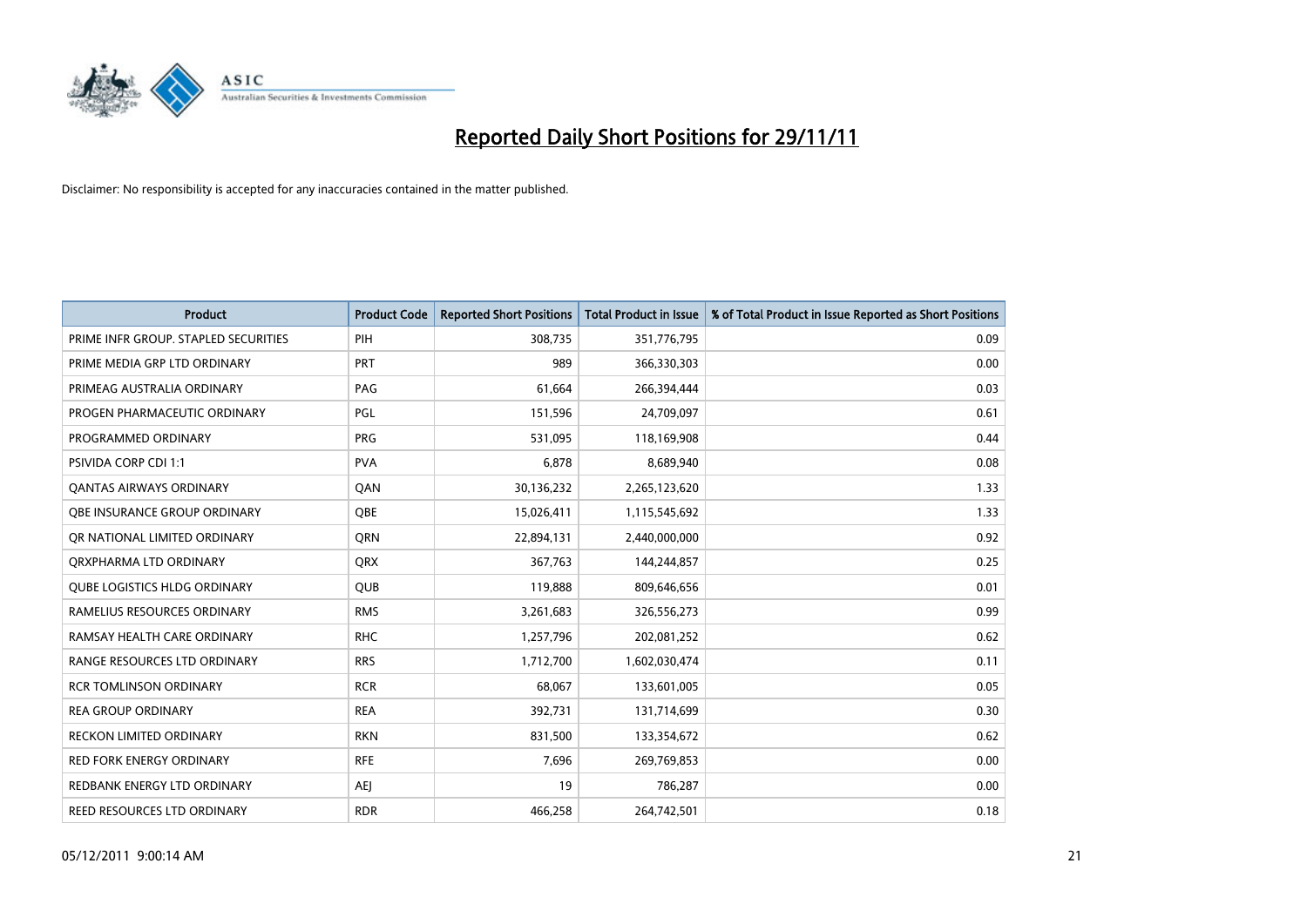

| Product                              | <b>Product Code</b> | <b>Reported Short Positions</b> | <b>Total Product in Issue</b> | % of Total Product in Issue Reported as Short Positions |
|--------------------------------------|---------------------|---------------------------------|-------------------------------|---------------------------------------------------------|
| PRIME INFR GROUP. STAPLED SECURITIES | PIH                 | 308,735                         | 351,776,795                   | 0.09                                                    |
| PRIME MEDIA GRP LTD ORDINARY         | PRT                 | 989                             | 366,330,303                   | 0.00                                                    |
| PRIMEAG AUSTRALIA ORDINARY           | PAG                 | 61,664                          | 266,394,444                   | 0.03                                                    |
| PROGEN PHARMACEUTIC ORDINARY         | PGL                 | 151,596                         | 24,709,097                    | 0.61                                                    |
| PROGRAMMED ORDINARY                  | <b>PRG</b>          | 531,095                         | 118,169,908                   | 0.44                                                    |
| PSIVIDA CORP CDI 1:1                 | <b>PVA</b>          | 6,878                           | 8,689,940                     | 0.08                                                    |
| <b>QANTAS AIRWAYS ORDINARY</b>       | QAN                 | 30,136,232                      | 2,265,123,620                 | 1.33                                                    |
| OBE INSURANCE GROUP ORDINARY         | <b>OBE</b>          | 15,026,411                      | 1,115,545,692                 | 1.33                                                    |
| OR NATIONAL LIMITED ORDINARY         | <b>ORN</b>          | 22,894,131                      | 2,440,000,000                 | 0.92                                                    |
| ORXPHARMA LTD ORDINARY               | QRX                 | 367,763                         | 144,244,857                   | 0.25                                                    |
| <b>QUBE LOGISTICS HLDG ORDINARY</b>  | QUB                 | 119,888                         | 809,646,656                   | 0.01                                                    |
| RAMELIUS RESOURCES ORDINARY          | <b>RMS</b>          | 3,261,683                       | 326,556,273                   | 0.99                                                    |
| RAMSAY HEALTH CARE ORDINARY          | <b>RHC</b>          | 1,257,796                       | 202,081,252                   | 0.62                                                    |
| RANGE RESOURCES LTD ORDINARY         | <b>RRS</b>          | 1,712,700                       | 1,602,030,474                 | 0.11                                                    |
| <b>RCR TOMLINSON ORDINARY</b>        | <b>RCR</b>          | 68,067                          | 133,601,005                   | 0.05                                                    |
| REA GROUP ORDINARY                   | <b>REA</b>          | 392,731                         | 131,714,699                   | 0.30                                                    |
| <b>RECKON LIMITED ORDINARY</b>       | <b>RKN</b>          | 831,500                         | 133,354,672                   | 0.62                                                    |
| <b>RED FORK ENERGY ORDINARY</b>      | <b>RFE</b>          | 7,696                           | 269,769,853                   | 0.00                                                    |
| REDBANK ENERGY LTD ORDINARY          | <b>AEJ</b>          | 19                              | 786,287                       | 0.00                                                    |
| REED RESOURCES LTD ORDINARY          | <b>RDR</b>          | 466,258                         | 264,742,501                   | 0.18                                                    |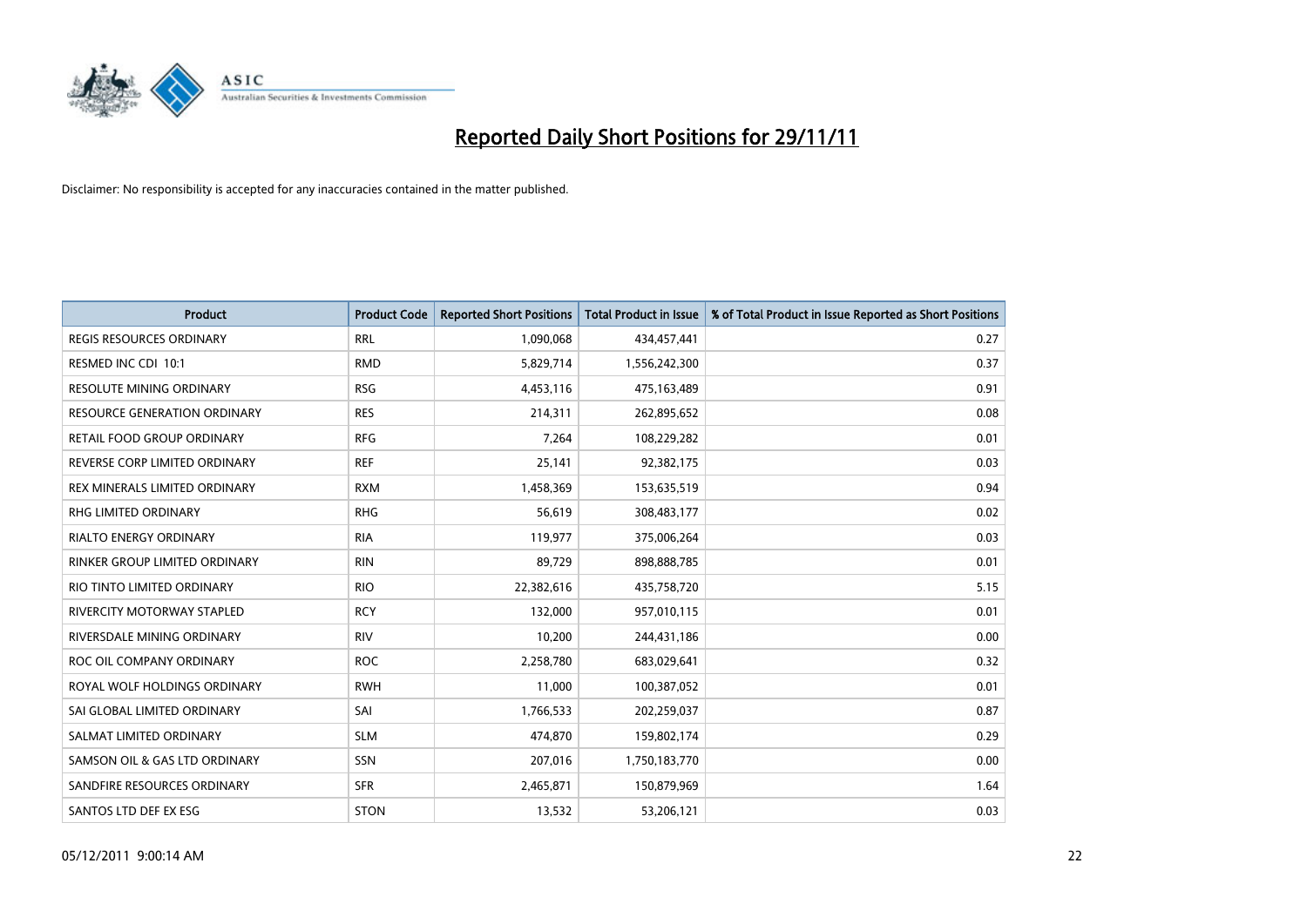

| Product                             | <b>Product Code</b> | <b>Reported Short Positions</b> | <b>Total Product in Issue</b> | % of Total Product in Issue Reported as Short Positions |
|-------------------------------------|---------------------|---------------------------------|-------------------------------|---------------------------------------------------------|
| <b>REGIS RESOURCES ORDINARY</b>     | <b>RRL</b>          | 1,090,068                       | 434,457,441                   | 0.27                                                    |
| RESMED INC CDI 10:1                 | <b>RMD</b>          | 5,829,714                       | 1,556,242,300                 | 0.37                                                    |
| RESOLUTE MINING ORDINARY            | <b>RSG</b>          | 4,453,116                       | 475,163,489                   | 0.91                                                    |
| <b>RESOURCE GENERATION ORDINARY</b> | <b>RES</b>          | 214,311                         | 262,895,652                   | 0.08                                                    |
| <b>RETAIL FOOD GROUP ORDINARY</b>   | <b>RFG</b>          | 7,264                           | 108,229,282                   | 0.01                                                    |
| REVERSE CORP LIMITED ORDINARY       | <b>REF</b>          | 25,141                          | 92,382,175                    | 0.03                                                    |
| REX MINERALS LIMITED ORDINARY       | <b>RXM</b>          | 1,458,369                       | 153,635,519                   | 0.94                                                    |
| RHG LIMITED ORDINARY                | <b>RHG</b>          | 56,619                          | 308,483,177                   | 0.02                                                    |
| <b>RIALTO ENERGY ORDINARY</b>       | <b>RIA</b>          | 119,977                         | 375,006,264                   | 0.03                                                    |
| RINKER GROUP LIMITED ORDINARY       | <b>RIN</b>          | 89,729                          | 898,888,785                   | 0.01                                                    |
| RIO TINTO LIMITED ORDINARY          | <b>RIO</b>          | 22,382,616                      | 435,758,720                   | 5.15                                                    |
| RIVERCITY MOTORWAY STAPLED          | <b>RCY</b>          | 132,000                         | 957,010,115                   | 0.01                                                    |
| RIVERSDALE MINING ORDINARY          | <b>RIV</b>          | 10,200                          | 244,431,186                   | 0.00                                                    |
| ROC OIL COMPANY ORDINARY            | <b>ROC</b>          | 2,258,780                       | 683,029,641                   | 0.32                                                    |
| ROYAL WOLF HOLDINGS ORDINARY        | <b>RWH</b>          | 11,000                          | 100,387,052                   | 0.01                                                    |
| SAI GLOBAL LIMITED ORDINARY         | SAI                 | 1,766,533                       | 202,259,037                   | 0.87                                                    |
| SALMAT LIMITED ORDINARY             | <b>SLM</b>          | 474,870                         | 159,802,174                   | 0.29                                                    |
| SAMSON OIL & GAS LTD ORDINARY       | SSN                 | 207,016                         | 1,750,183,770                 | 0.00                                                    |
| SANDFIRE RESOURCES ORDINARY         | <b>SFR</b>          | 2,465,871                       | 150,879,969                   | 1.64                                                    |
| SANTOS LTD DEF EX ESG               | <b>STON</b>         | 13,532                          | 53,206,121                    | 0.03                                                    |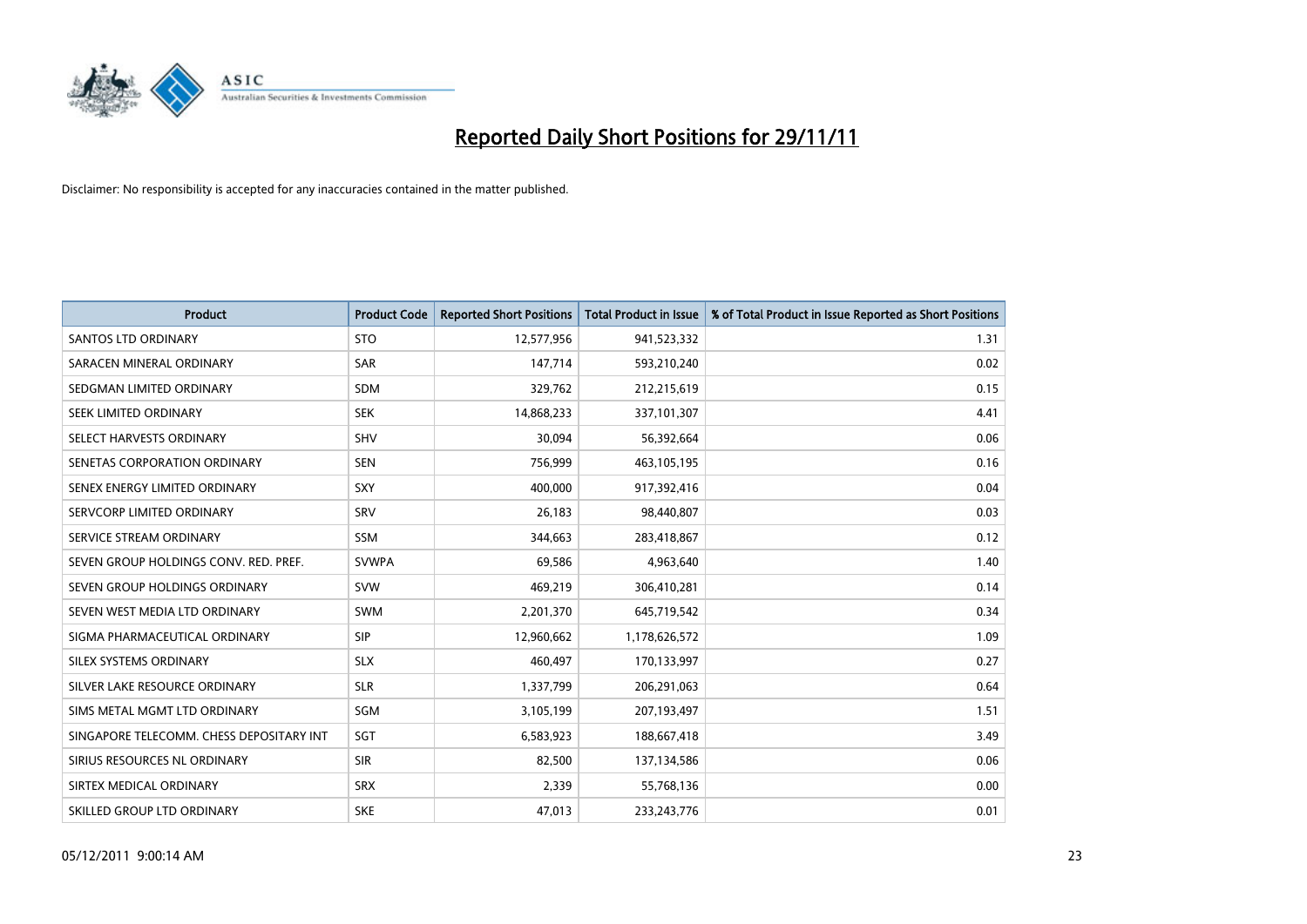

| <b>Product</b>                           | <b>Product Code</b> | <b>Reported Short Positions</b> | <b>Total Product in Issue</b> | % of Total Product in Issue Reported as Short Positions |
|------------------------------------------|---------------------|---------------------------------|-------------------------------|---------------------------------------------------------|
| <b>SANTOS LTD ORDINARY</b>               | <b>STO</b>          | 12,577,956                      | 941,523,332                   | 1.31                                                    |
| SARACEN MINERAL ORDINARY                 | <b>SAR</b>          | 147,714                         | 593,210,240                   | 0.02                                                    |
| SEDGMAN LIMITED ORDINARY                 | <b>SDM</b>          | 329,762                         | 212,215,619                   | 0.15                                                    |
| SEEK LIMITED ORDINARY                    | <b>SEK</b>          | 14,868,233                      | 337,101,307                   | 4.41                                                    |
| SELECT HARVESTS ORDINARY                 | SHV                 | 30,094                          | 56,392,664                    | 0.06                                                    |
| SENETAS CORPORATION ORDINARY             | <b>SEN</b>          | 756,999                         | 463,105,195                   | 0.16                                                    |
| SENEX ENERGY LIMITED ORDINARY            | <b>SXY</b>          | 400,000                         | 917,392,416                   | 0.04                                                    |
| SERVCORP LIMITED ORDINARY                | SRV                 | 26,183                          | 98,440,807                    | 0.03                                                    |
| SERVICE STREAM ORDINARY                  | SSM                 | 344,663                         | 283,418,867                   | 0.12                                                    |
| SEVEN GROUP HOLDINGS CONV. RED. PREF.    | <b>SVWPA</b>        | 69,586                          | 4,963,640                     | 1.40                                                    |
| SEVEN GROUP HOLDINGS ORDINARY            | <b>SVW</b>          | 469,219                         | 306,410,281                   | 0.14                                                    |
| SEVEN WEST MEDIA LTD ORDINARY            | SWM                 | 2,201,370                       | 645,719,542                   | 0.34                                                    |
| SIGMA PHARMACEUTICAL ORDINARY            | <b>SIP</b>          | 12,960,662                      | 1,178,626,572                 | 1.09                                                    |
| SILEX SYSTEMS ORDINARY                   | <b>SLX</b>          | 460,497                         | 170,133,997                   | 0.27                                                    |
| SILVER LAKE RESOURCE ORDINARY            | <b>SLR</b>          | 1,337,799                       | 206,291,063                   | 0.64                                                    |
| SIMS METAL MGMT LTD ORDINARY             | SGM                 | 3,105,199                       | 207,193,497                   | 1.51                                                    |
| SINGAPORE TELECOMM. CHESS DEPOSITARY INT | SGT                 | 6,583,923                       | 188,667,418                   | 3.49                                                    |
| SIRIUS RESOURCES NL ORDINARY             | <b>SIR</b>          | 82,500                          | 137,134,586                   | 0.06                                                    |
| SIRTEX MEDICAL ORDINARY                  | <b>SRX</b>          | 2,339                           | 55,768,136                    | 0.00                                                    |
| SKILLED GROUP LTD ORDINARY               | <b>SKE</b>          | 47,013                          | 233, 243, 776                 | 0.01                                                    |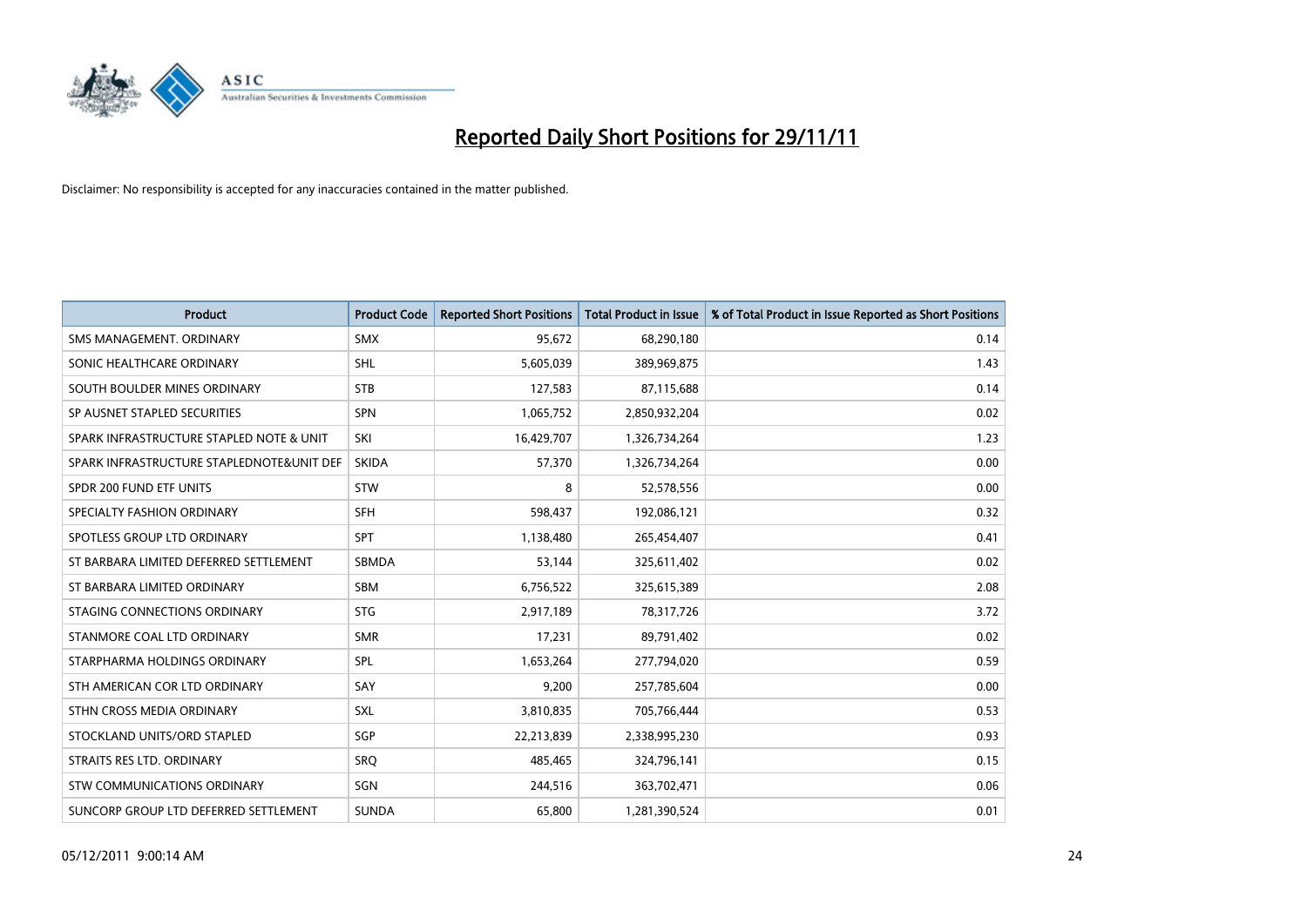

| <b>Product</b>                            | <b>Product Code</b> | <b>Reported Short Positions</b> | <b>Total Product in Issue</b> | % of Total Product in Issue Reported as Short Positions |
|-------------------------------------------|---------------------|---------------------------------|-------------------------------|---------------------------------------------------------|
| SMS MANAGEMENT, ORDINARY                  | <b>SMX</b>          | 95,672                          | 68,290,180                    | 0.14                                                    |
| SONIC HEALTHCARE ORDINARY                 | <b>SHL</b>          | 5,605,039                       | 389,969,875                   | 1.43                                                    |
| SOUTH BOULDER MINES ORDINARY              | <b>STB</b>          | 127,583                         | 87,115,688                    | 0.14                                                    |
| SP AUSNET STAPLED SECURITIES              | SPN                 | 1,065,752                       | 2,850,932,204                 | 0.02                                                    |
| SPARK INFRASTRUCTURE STAPLED NOTE & UNIT  | SKI                 | 16,429,707                      | 1,326,734,264                 | 1.23                                                    |
| SPARK INFRASTRUCTURE STAPLEDNOTE&UNIT DEF | <b>SKIDA</b>        | 57,370                          | 1,326,734,264                 | 0.00                                                    |
| SPDR 200 FUND ETF UNITS                   | <b>STW</b>          | 8                               | 52,578,556                    | 0.00                                                    |
| SPECIALTY FASHION ORDINARY                | <b>SFH</b>          | 598,437                         | 192,086,121                   | 0.32                                                    |
| SPOTLESS GROUP LTD ORDINARY               | <b>SPT</b>          | 1,138,480                       | 265,454,407                   | 0.41                                                    |
| ST BARBARA LIMITED DEFERRED SETTLEMENT    | SBMDA               | 53,144                          | 325,611,402                   | 0.02                                                    |
| ST BARBARA LIMITED ORDINARY               | <b>SBM</b>          | 6,756,522                       | 325,615,389                   | 2.08                                                    |
| STAGING CONNECTIONS ORDINARY              | <b>STG</b>          | 2,917,189                       | 78,317,726                    | 3.72                                                    |
| STANMORE COAL LTD ORDINARY                | <b>SMR</b>          | 17,231                          | 89,791,402                    | 0.02                                                    |
| STARPHARMA HOLDINGS ORDINARY              | SPL                 | 1,653,264                       | 277,794,020                   | 0.59                                                    |
| STH AMERICAN COR LTD ORDINARY             | SAY                 | 9,200                           | 257,785,604                   | 0.00                                                    |
| STHN CROSS MEDIA ORDINARY                 | SXL                 | 3,810,835                       | 705,766,444                   | 0.53                                                    |
| STOCKLAND UNITS/ORD STAPLED               | SGP                 | 22,213,839                      | 2,338,995,230                 | 0.93                                                    |
| STRAITS RES LTD. ORDINARY                 | <b>SRQ</b>          | 485,465                         | 324,796,141                   | 0.15                                                    |
| STW COMMUNICATIONS ORDINARY               | SGN                 | 244,516                         | 363,702,471                   | 0.06                                                    |
| SUNCORP GROUP LTD DEFERRED SETTLEMENT     | <b>SUNDA</b>        | 65,800                          | 1,281,390,524                 | 0.01                                                    |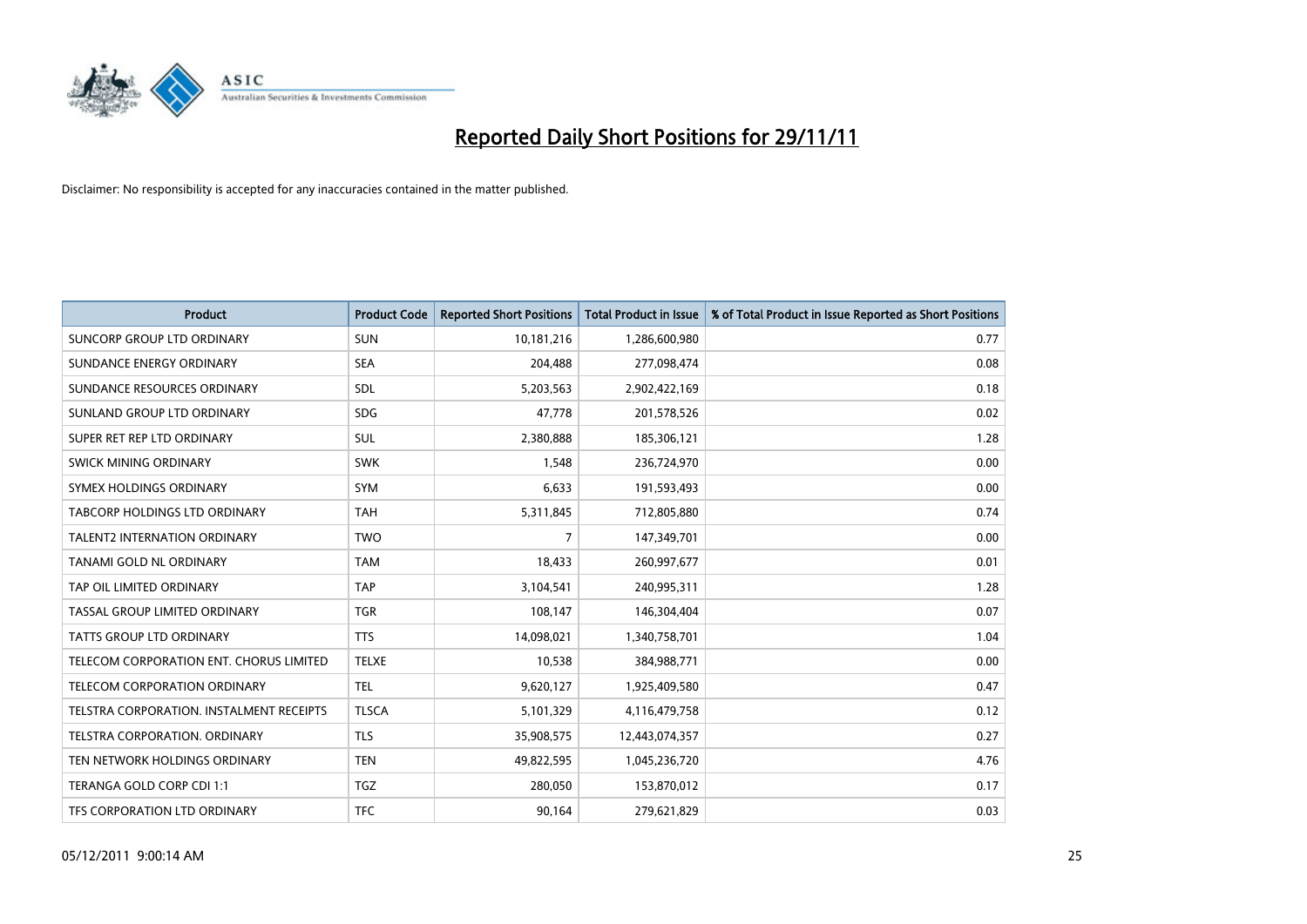

| Product                                  | <b>Product Code</b> | <b>Reported Short Positions</b> | <b>Total Product in Issue</b> | % of Total Product in Issue Reported as Short Positions |
|------------------------------------------|---------------------|---------------------------------|-------------------------------|---------------------------------------------------------|
| SUNCORP GROUP LTD ORDINARY               | <b>SUN</b>          | 10,181,216                      | 1,286,600,980                 | 0.77                                                    |
| SUNDANCE ENERGY ORDINARY                 | <b>SEA</b>          | 204,488                         | 277,098,474                   | 0.08                                                    |
| SUNDANCE RESOURCES ORDINARY              | <b>SDL</b>          | 5,203,563                       | 2,902,422,169                 | 0.18                                                    |
| SUNLAND GROUP LTD ORDINARY               | <b>SDG</b>          | 47,778                          | 201,578,526                   | 0.02                                                    |
| SUPER RET REP LTD ORDINARY               | SUL                 | 2,380,888                       | 185,306,121                   | 1.28                                                    |
| SWICK MINING ORDINARY                    | <b>SWK</b>          | 1,548                           | 236,724,970                   | 0.00                                                    |
| SYMEX HOLDINGS ORDINARY                  | <b>SYM</b>          | 6,633                           | 191,593,493                   | 0.00                                                    |
| TABCORP HOLDINGS LTD ORDINARY            | <b>TAH</b>          | 5,311,845                       | 712,805,880                   | 0.74                                                    |
| TALENT2 INTERNATION ORDINARY             | <b>TWO</b>          | $\overline{7}$                  | 147,349,701                   | 0.00                                                    |
| TANAMI GOLD NL ORDINARY                  | <b>TAM</b>          | 18,433                          | 260,997,677                   | 0.01                                                    |
| TAP OIL LIMITED ORDINARY                 | <b>TAP</b>          | 3,104,541                       | 240,995,311                   | 1.28                                                    |
| TASSAL GROUP LIMITED ORDINARY            | <b>TGR</b>          | 108,147                         | 146,304,404                   | 0.07                                                    |
| <b>TATTS GROUP LTD ORDINARY</b>          | <b>TTS</b>          | 14,098,021                      | 1,340,758,701                 | 1.04                                                    |
| TELECOM CORPORATION ENT. CHORUS LIMITED  | <b>TELXE</b>        | 10,538                          | 384,988,771                   | 0.00                                                    |
| TELECOM CORPORATION ORDINARY             | <b>TEL</b>          | 9,620,127                       | 1,925,409,580                 | 0.47                                                    |
| TELSTRA CORPORATION. INSTALMENT RECEIPTS | <b>TLSCA</b>        | 5,101,329                       | 4,116,479,758                 | 0.12                                                    |
| TELSTRA CORPORATION, ORDINARY            | <b>TLS</b>          | 35,908,575                      | 12,443,074,357                | 0.27                                                    |
| TEN NETWORK HOLDINGS ORDINARY            | <b>TEN</b>          | 49,822,595                      | 1,045,236,720                 | 4.76                                                    |
| TERANGA GOLD CORP CDI 1:1                | TGZ                 | 280,050                         | 153,870,012                   | 0.17                                                    |
| TFS CORPORATION LTD ORDINARY             | <b>TFC</b>          | 90,164                          | 279,621,829                   | 0.03                                                    |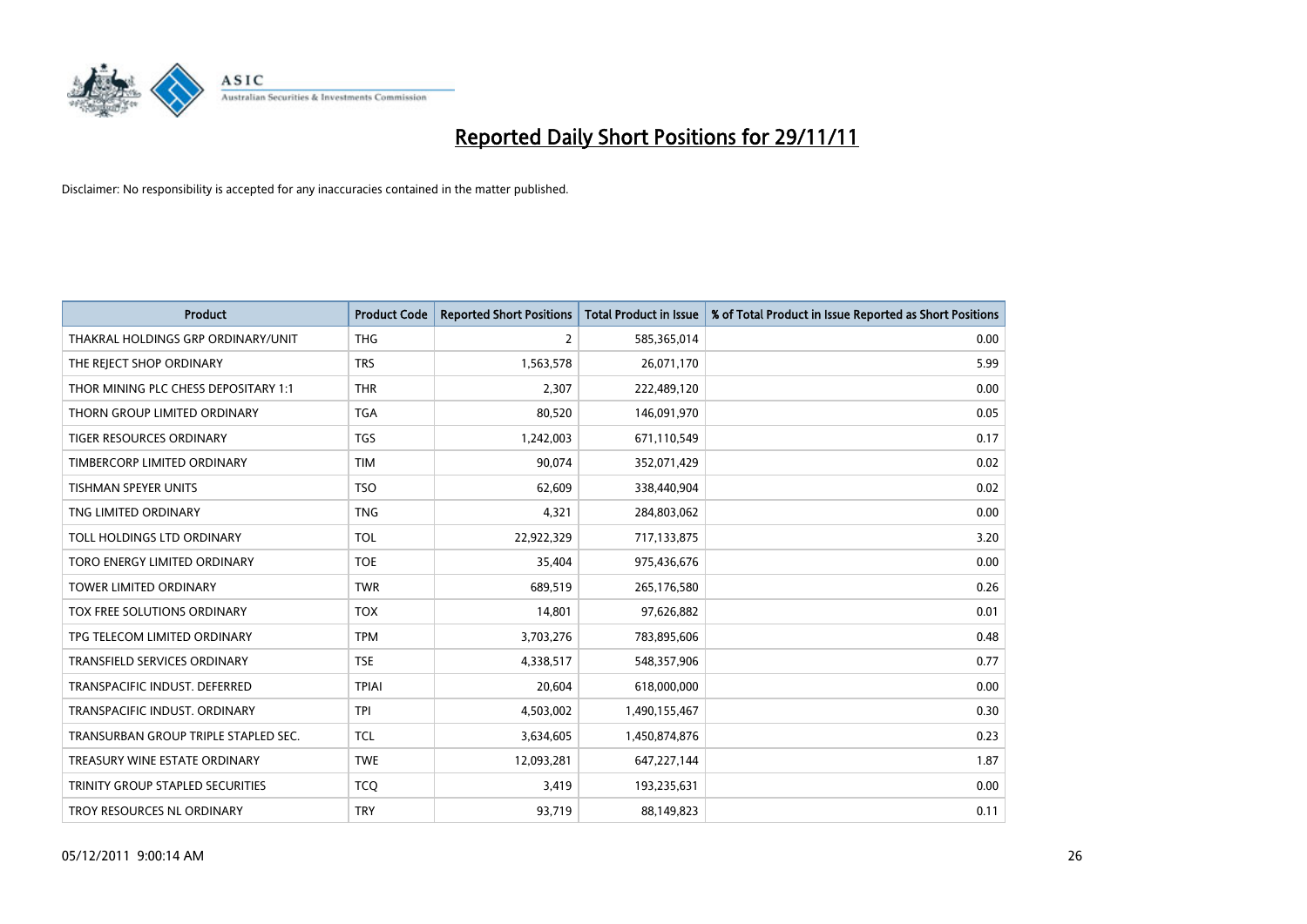

| Product                              | <b>Product Code</b> | <b>Reported Short Positions</b> | <b>Total Product in Issue</b> | % of Total Product in Issue Reported as Short Positions |
|--------------------------------------|---------------------|---------------------------------|-------------------------------|---------------------------------------------------------|
| THAKRAL HOLDINGS GRP ORDINARY/UNIT   | <b>THG</b>          | 2                               | 585,365,014                   | 0.00                                                    |
| THE REJECT SHOP ORDINARY             | <b>TRS</b>          | 1,563,578                       | 26,071,170                    | 5.99                                                    |
| THOR MINING PLC CHESS DEPOSITARY 1:1 | <b>THR</b>          | 2,307                           | 222,489,120                   | 0.00                                                    |
| THORN GROUP LIMITED ORDINARY         | <b>TGA</b>          | 80,520                          | 146,091,970                   | 0.05                                                    |
| <b>TIGER RESOURCES ORDINARY</b>      | <b>TGS</b>          | 1,242,003                       | 671,110,549                   | 0.17                                                    |
| TIMBERCORP LIMITED ORDINARY          | <b>TIM</b>          | 90,074                          | 352,071,429                   | 0.02                                                    |
| <b>TISHMAN SPEYER UNITS</b>          | <b>TSO</b>          | 62,609                          | 338,440,904                   | 0.02                                                    |
| TNG LIMITED ORDINARY                 | <b>TNG</b>          | 4,321                           | 284,803,062                   | 0.00                                                    |
| TOLL HOLDINGS LTD ORDINARY           | <b>TOL</b>          | 22,922,329                      | 717,133,875                   | 3.20                                                    |
| TORO ENERGY LIMITED ORDINARY         | <b>TOE</b>          | 35,404                          | 975,436,676                   | 0.00                                                    |
| TOWER LIMITED ORDINARY               | <b>TWR</b>          | 689,519                         | 265,176,580                   | 0.26                                                    |
| <b>TOX FREE SOLUTIONS ORDINARY</b>   | <b>TOX</b>          | 14,801                          | 97,626,882                    | 0.01                                                    |
| TPG TELECOM LIMITED ORDINARY         | <b>TPM</b>          | 3,703,276                       | 783,895,606                   | 0.48                                                    |
| <b>TRANSFIELD SERVICES ORDINARY</b>  | <b>TSE</b>          | 4,338,517                       | 548,357,906                   | 0.77                                                    |
| TRANSPACIFIC INDUST. DEFERRED        | <b>TPIAI</b>        | 20,604                          | 618,000,000                   | 0.00                                                    |
| TRANSPACIFIC INDUST. ORDINARY        | <b>TPI</b>          | 4,503,002                       | 1,490,155,467                 | 0.30                                                    |
| TRANSURBAN GROUP TRIPLE STAPLED SEC. | <b>TCL</b>          | 3,634,605                       | 1,450,874,876                 | 0.23                                                    |
| TREASURY WINE ESTATE ORDINARY        | <b>TWE</b>          | 12,093,281                      | 647,227,144                   | 1.87                                                    |
| TRINITY GROUP STAPLED SECURITIES     | <b>TCO</b>          | 3,419                           | 193,235,631                   | 0.00                                                    |
| TROY RESOURCES NL ORDINARY           | <b>TRY</b>          | 93,719                          | 88,149,823                    | 0.11                                                    |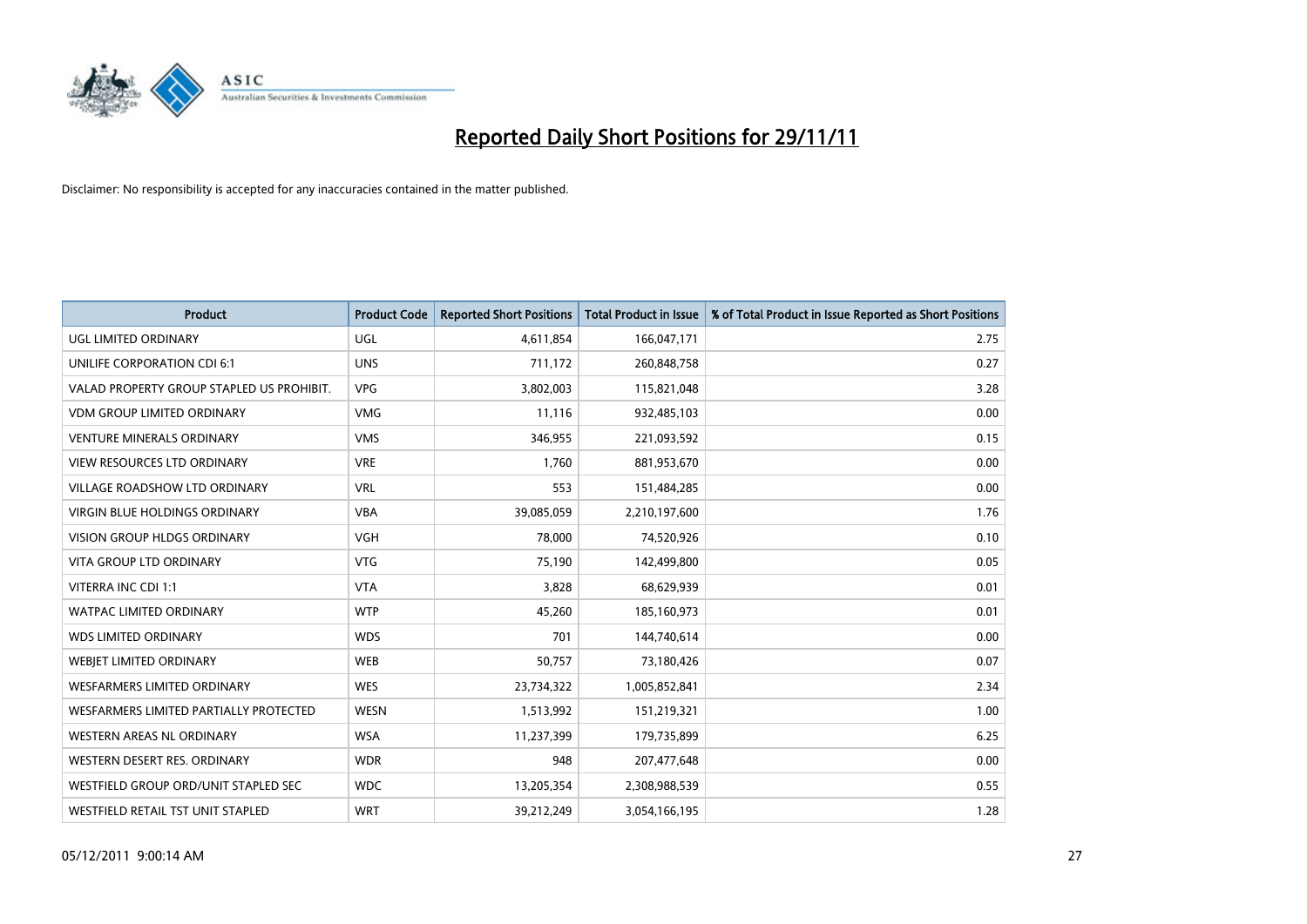

| Product                                   | <b>Product Code</b> | <b>Reported Short Positions</b> | <b>Total Product in Issue</b> | % of Total Product in Issue Reported as Short Positions |
|-------------------------------------------|---------------------|---------------------------------|-------------------------------|---------------------------------------------------------|
| <b>UGL LIMITED ORDINARY</b>               | <b>UGL</b>          | 4,611,854                       | 166,047,171                   | 2.75                                                    |
| UNILIFE CORPORATION CDI 6:1               | <b>UNS</b>          | 711,172                         | 260,848,758                   | 0.27                                                    |
| VALAD PROPERTY GROUP STAPLED US PROHIBIT. | <b>VPG</b>          | 3,802,003                       | 115,821,048                   | 3.28                                                    |
| <b>VDM GROUP LIMITED ORDINARY</b>         | <b>VMG</b>          | 11,116                          | 932,485,103                   | 0.00                                                    |
| <b>VENTURE MINERALS ORDINARY</b>          | <b>VMS</b>          | 346,955                         | 221,093,592                   | 0.15                                                    |
| VIEW RESOURCES LTD ORDINARY               | <b>VRE</b>          | 1,760                           | 881,953,670                   | 0.00                                                    |
| VILLAGE ROADSHOW LTD ORDINARY             | <b>VRL</b>          | 553                             | 151,484,285                   | 0.00                                                    |
| VIRGIN BLUE HOLDINGS ORDINARY             | <b>VBA</b>          | 39,085,059                      | 2,210,197,600                 | 1.76                                                    |
| <b>VISION GROUP HLDGS ORDINARY</b>        | <b>VGH</b>          | 78,000                          | 74,520,926                    | 0.10                                                    |
| <b>VITA GROUP LTD ORDINARY</b>            | <b>VTG</b>          | 75,190                          | 142,499,800                   | 0.05                                                    |
| VITERRA INC CDI 1:1                       | <b>VTA</b>          | 3,828                           | 68,629,939                    | 0.01                                                    |
| <b>WATPAC LIMITED ORDINARY</b>            | <b>WTP</b>          | 45,260                          | 185,160,973                   | 0.01                                                    |
| <b>WDS LIMITED ORDINARY</b>               | <b>WDS</b>          | 701                             | 144,740,614                   | 0.00                                                    |
| WEBIET LIMITED ORDINARY                   | <b>WEB</b>          | 50,757                          | 73,180,426                    | 0.07                                                    |
| <b>WESFARMERS LIMITED ORDINARY</b>        | <b>WES</b>          | 23,734,322                      | 1,005,852,841                 | 2.34                                                    |
| WESFARMERS LIMITED PARTIALLY PROTECTED    | <b>WESN</b>         | 1,513,992                       | 151,219,321                   | 1.00                                                    |
| WESTERN AREAS NL ORDINARY                 | <b>WSA</b>          | 11,237,399                      | 179,735,899                   | 6.25                                                    |
| WESTERN DESERT RES. ORDINARY              | <b>WDR</b>          | 948                             | 207,477,648                   | 0.00                                                    |
| WESTFIELD GROUP ORD/UNIT STAPLED SEC      | <b>WDC</b>          | 13,205,354                      | 2,308,988,539                 | 0.55                                                    |
| WESTFIELD RETAIL TST UNIT STAPLED         | <b>WRT</b>          | 39,212,249                      | 3,054,166,195                 | 1.28                                                    |